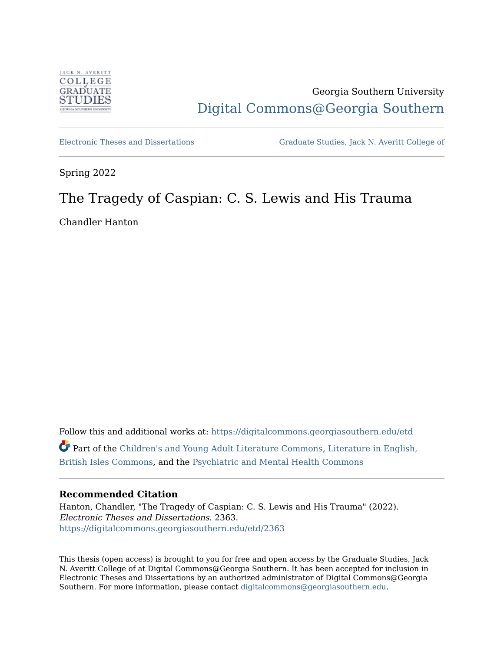

# Georgia Southern University [Digital Commons@Georgia Southern](https://digitalcommons.georgiasouthern.edu/)

[Electronic Theses and Dissertations](https://digitalcommons.georgiasouthern.edu/etd) [Graduate Studies, Jack N. Averitt College of](https://digitalcommons.georgiasouthern.edu/cogs) 

Spring 2022

# The Tragedy of Caspian: C. S. Lewis and His Trauma

Chandler Hanton

Follow this and additional works at: [https://digitalcommons.georgiasouthern.edu/etd](https://digitalcommons.georgiasouthern.edu/etd?utm_source=digitalcommons.georgiasouthern.edu%2Fetd%2F2363&utm_medium=PDF&utm_campaign=PDFCoverPages)  Part of the [Children's and Young Adult Literature Commons](http://network.bepress.com/hgg/discipline/1289?utm_source=digitalcommons.georgiasouthern.edu%2Fetd%2F2363&utm_medium=PDF&utm_campaign=PDFCoverPages), [Literature in English,](http://network.bepress.com/hgg/discipline/456?utm_source=digitalcommons.georgiasouthern.edu%2Fetd%2F2363&utm_medium=PDF&utm_campaign=PDFCoverPages) [British Isles Commons](http://network.bepress.com/hgg/discipline/456?utm_source=digitalcommons.georgiasouthern.edu%2Fetd%2F2363&utm_medium=PDF&utm_campaign=PDFCoverPages), and the [Psychiatric and Mental Health Commons](http://network.bepress.com/hgg/discipline/711?utm_source=digitalcommons.georgiasouthern.edu%2Fetd%2F2363&utm_medium=PDF&utm_campaign=PDFCoverPages) 

## **Recommended Citation**

Hanton, Chandler, "The Tragedy of Caspian: C. S. Lewis and His Trauma" (2022). Electronic Theses and Dissertations. 2363. [https://digitalcommons.georgiasouthern.edu/etd/2363](https://digitalcommons.georgiasouthern.edu/etd/2363?utm_source=digitalcommons.georgiasouthern.edu%2Fetd%2F2363&utm_medium=PDF&utm_campaign=PDFCoverPages) 

This thesis (open access) is brought to you for free and open access by the Graduate Studies, Jack N. Averitt College of at Digital Commons@Georgia Southern. It has been accepted for inclusion in Electronic Theses and Dissertations by an authorized administrator of Digital Commons@Georgia Southern. For more information, please contact [digitalcommons@georgiasouthern.edu](mailto:digitalcommons@georgiasouthern.edu).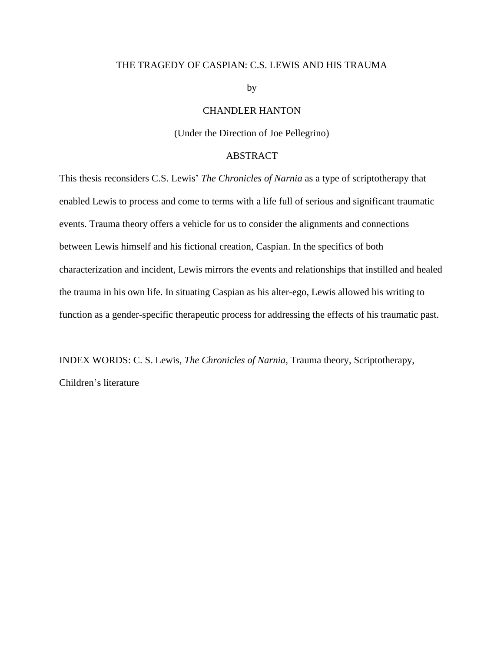### THE TRAGEDY OF CASPIAN: C.S. LEWIS AND HIS TRAUMA

by

## CHANDLER HANTON

(Under the Direction of Joe Pellegrino)

### ABSTRACT

This thesis reconsiders C.S. Lewis' *The Chronicles of Narnia* as a type of scriptotherapy that enabled Lewis to process and come to terms with a life full of serious and significant traumatic events. Trauma theory offers a vehicle for us to consider the alignments and connections between Lewis himself and his fictional creation, Caspian. In the specifics of both characterization and incident, Lewis mirrors the events and relationships that instilled and healed the trauma in his own life. In situating Caspian as his alter-ego, Lewis allowed his writing to function as a gender-specific therapeutic process for addressing the effects of his traumatic past.

INDEX WORDS: C. S. Lewis, *The Chronicles of Narnia*, Trauma theory, Scriptotherapy, Children's literature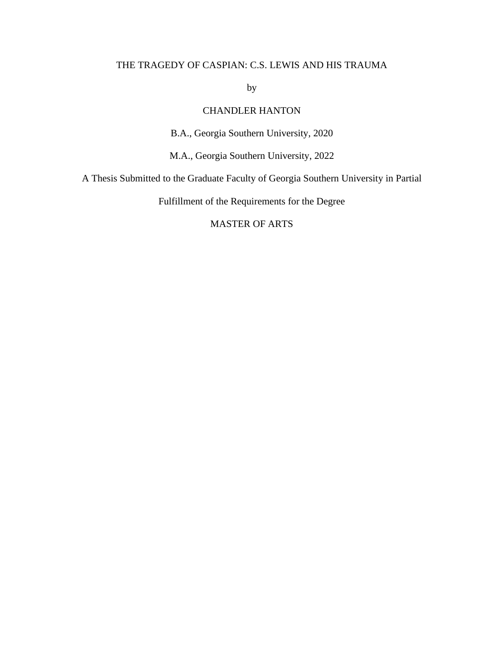## THE TRAGEDY OF CASPIAN: C.S. LEWIS AND HIS TRAUMA

by

## CHANDLER HANTON

B.A., Georgia Southern University, 2020

M.A., Georgia Southern University, 2022

A Thesis Submitted to the Graduate Faculty of Georgia Southern University in Partial

Fulfillment of the Requirements for the Degree

## MASTER OF ARTS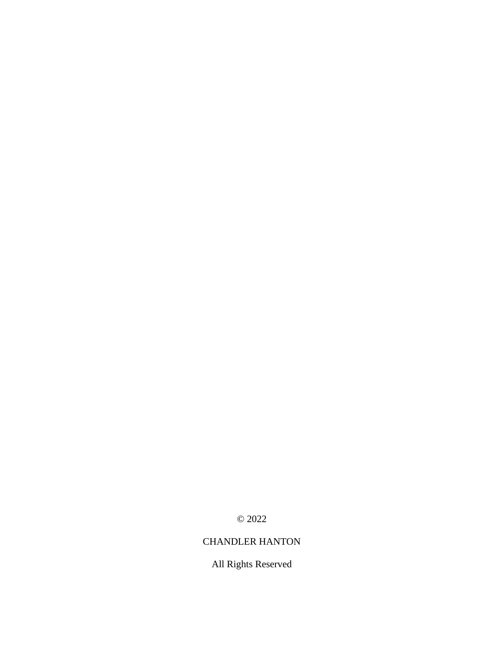© 2022

## CHANDLER HANTON

All Rights Reserved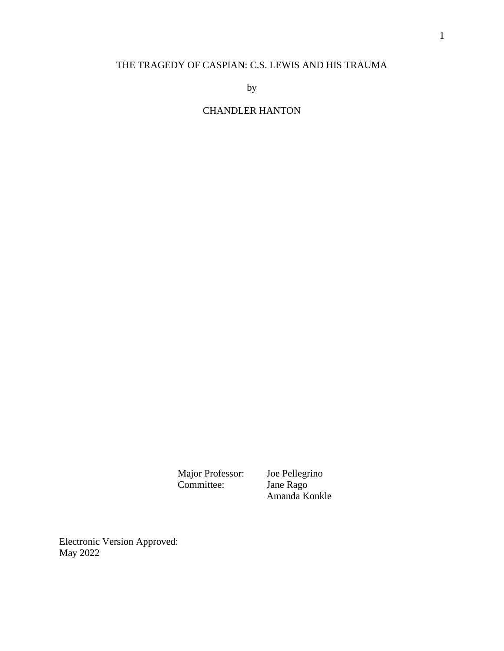## THE TRAGEDY OF CASPIAN: C.S. LEWIS AND HIS TRAUMA

by

## CHANDLER HANTON

Major Professor: Joe Pellegrino<br>Committee: Jane Rago Committee:

Amanda Konkle

Electronic Version Approved: May 2022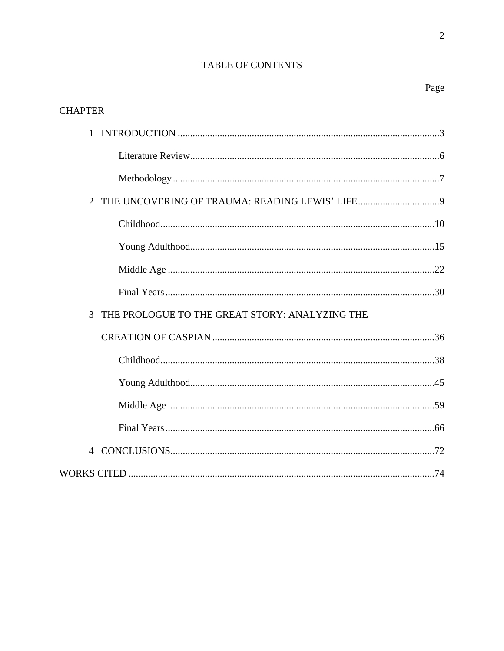## TABLE OF CONTENTS

Page

 $\overline{c}$ 

| <b>CHAPTER</b>                                      |
|-----------------------------------------------------|
|                                                     |
|                                                     |
|                                                     |
| $\overline{2}$                                      |
|                                                     |
|                                                     |
|                                                     |
|                                                     |
| THE PROLOGUE TO THE GREAT STORY: ANALYZING THE<br>3 |
|                                                     |
|                                                     |
|                                                     |
|                                                     |
|                                                     |
| 4                                                   |
|                                                     |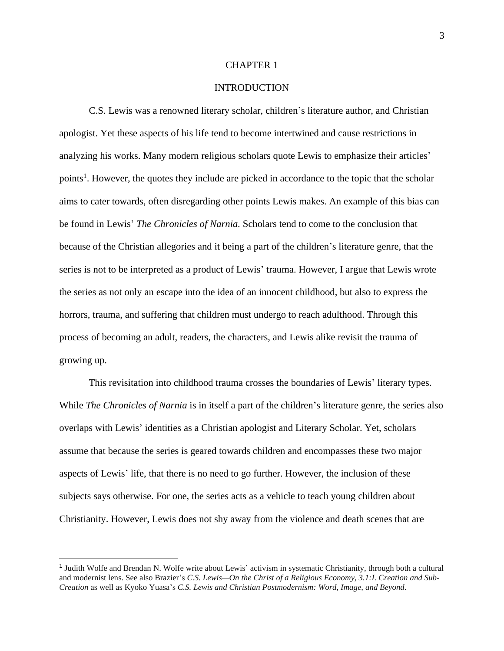#### CHAPTER 1

### INTRODUCTION

C.S. Lewis was a renowned literary scholar, children's literature author, and Christian apologist. Yet these aspects of his life tend to become intertwined and cause restrictions in analyzing his works. Many modern religious scholars quote Lewis to emphasize their articles' points<sup>1</sup>. However, the quotes they include are picked in accordance to the topic that the scholar aims to cater towards, often disregarding other points Lewis makes. An example of this bias can be found in Lewis' *The Chronicles of Narnia.* Scholars tend to come to the conclusion that because of the Christian allegories and it being a part of the children's literature genre, that the series is not to be interpreted as a product of Lewis' trauma. However, I argue that Lewis wrote the series as not only an escape into the idea of an innocent childhood, but also to express the horrors, trauma, and suffering that children must undergo to reach adulthood. Through this process of becoming an adult, readers, the characters, and Lewis alike revisit the trauma of growing up.

This revisitation into childhood trauma crosses the boundaries of Lewis' literary types. While *The Chronicles of Narnia* is in itself a part of the children's literature genre, the series also overlaps with Lewis' identities as a Christian apologist and Literary Scholar. Yet, scholars assume that because the series is geared towards children and encompasses these two major aspects of Lewis' life, that there is no need to go further. However, the inclusion of these subjects says otherwise. For one, the series acts as a vehicle to teach young children about Christianity. However, Lewis does not shy away from the violence and death scenes that are

<sup>&</sup>lt;sup>1</sup> Judith Wolfe and Brendan N. Wolfe write about Lewis' activism in systematic Christianity, through both a cultural and modernist lens. See also Brazier's *C.S. Lewis—On the Christ of a Religious Economy, 3.1:I. Creation and Sub-Creation* as well as Kyoko Yuasa's *C.S. Lewis and Christian Postmodernism: Word, Image, and Beyond*.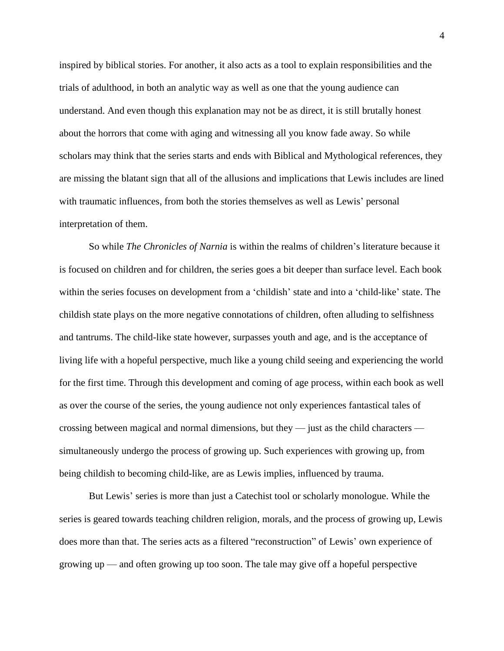inspired by biblical stories. For another, it also acts as a tool to explain responsibilities and the trials of adulthood, in both an analytic way as well as one that the young audience can understand. And even though this explanation may not be as direct, it is still brutally honest about the horrors that come with aging and witnessing all you know fade away. So while scholars may think that the series starts and ends with Biblical and Mythological references, they are missing the blatant sign that all of the allusions and implications that Lewis includes are lined with traumatic influences, from both the stories themselves as well as Lewis' personal interpretation of them.

So while *The Chronicles of Narnia* is within the realms of children's literature because it is focused on children and for children, the series goes a bit deeper than surface level. Each book within the series focuses on development from a 'childish' state and into a 'child-like' state. The childish state plays on the more negative connotations of children, often alluding to selfishness and tantrums. The child-like state however, surpasses youth and age, and is the acceptance of living life with a hopeful perspective, much like a young child seeing and experiencing the world for the first time. Through this development and coming of age process, within each book as well as over the course of the series, the young audience not only experiences fantastical tales of crossing between magical and normal dimensions, but they — just as the child characters simultaneously undergo the process of growing up. Such experiences with growing up, from being childish to becoming child-like, are as Lewis implies, influenced by trauma.

But Lewis' series is more than just a Catechist tool or scholarly monologue. While the series is geared towards teaching children religion, morals, and the process of growing up, Lewis does more than that. The series acts as a filtered "reconstruction" of Lewis' own experience of growing up — and often growing up too soon. The tale may give off a hopeful perspective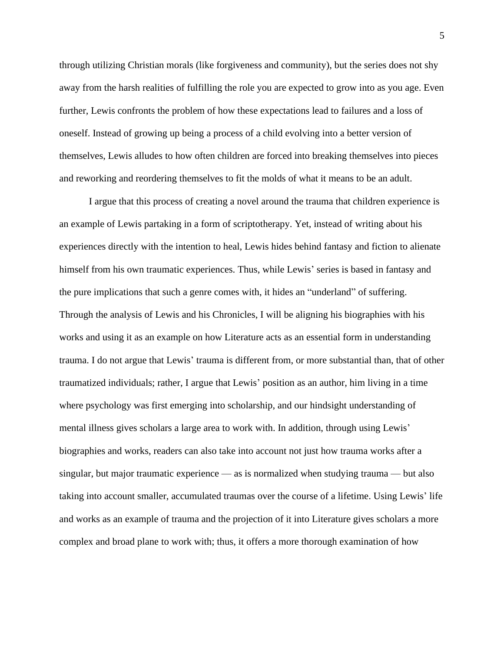through utilizing Christian morals (like forgiveness and community), but the series does not shy away from the harsh realities of fulfilling the role you are expected to grow into as you age. Even further, Lewis confronts the problem of how these expectations lead to failures and a loss of oneself. Instead of growing up being a process of a child evolving into a better version of themselves, Lewis alludes to how often children are forced into breaking themselves into pieces and reworking and reordering themselves to fit the molds of what it means to be an adult.

I argue that this process of creating a novel around the trauma that children experience is an example of Lewis partaking in a form of scriptotherapy. Yet, instead of writing about his experiences directly with the intention to heal, Lewis hides behind fantasy and fiction to alienate himself from his own traumatic experiences. Thus, while Lewis' series is based in fantasy and the pure implications that such a genre comes with, it hides an "underland" of suffering. Through the analysis of Lewis and his Chronicles, I will be aligning his biographies with his works and using it as an example on how Literature acts as an essential form in understanding trauma. I do not argue that Lewis' trauma is different from, or more substantial than, that of other traumatized individuals; rather, I argue that Lewis' position as an author, him living in a time where psychology was first emerging into scholarship, and our hindsight understanding of mental illness gives scholars a large area to work with. In addition, through using Lewis' biographies and works, readers can also take into account not just how trauma works after a singular, but major traumatic experience — as is normalized when studying trauma — but also taking into account smaller, accumulated traumas over the course of a lifetime. Using Lewis' life and works as an example of trauma and the projection of it into Literature gives scholars a more complex and broad plane to work with; thus, it offers a more thorough examination of how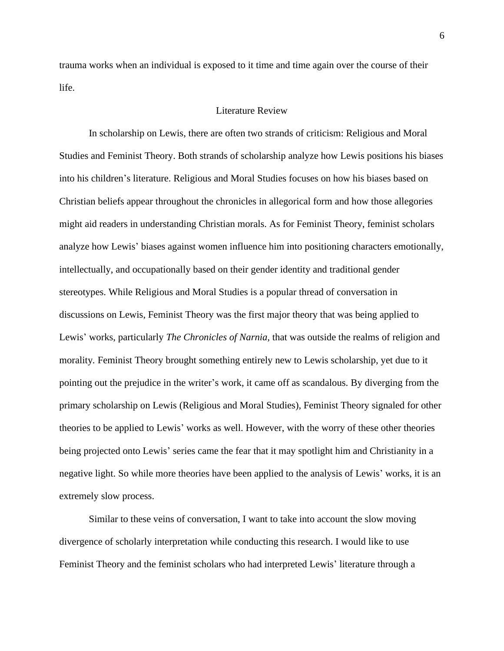trauma works when an individual is exposed to it time and time again over the course of their life.

### Literature Review

In scholarship on Lewis, there are often two strands of criticism: Religious and Moral Studies and Feminist Theory. Both strands of scholarship analyze how Lewis positions his biases into his children's literature. Religious and Moral Studies focuses on how his biases based on Christian beliefs appear throughout the chronicles in allegorical form and how those allegories might aid readers in understanding Christian morals. As for Feminist Theory, feminist scholars analyze how Lewis' biases against women influence him into positioning characters emotionally, intellectually, and occupationally based on their gender identity and traditional gender stereotypes. While Religious and Moral Studies is a popular thread of conversation in discussions on Lewis, Feminist Theory was the first major theory that was being applied to Lewis' works, particularly *The Chronicles of Narnia,* that was outside the realms of religion and morality*.* Feminist Theory brought something entirely new to Lewis scholarship, yet due to it pointing out the prejudice in the writer's work, it came off as scandalous. By diverging from the primary scholarship on Lewis (Religious and Moral Studies), Feminist Theory signaled for other theories to be applied to Lewis' works as well. However, with the worry of these other theories being projected onto Lewis' series came the fear that it may spotlight him and Christianity in a negative light. So while more theories have been applied to the analysis of Lewis' works, it is an extremely slow process.

Similar to these veins of conversation, I want to take into account the slow moving divergence of scholarly interpretation while conducting this research. I would like to use Feminist Theory and the feminist scholars who had interpreted Lewis' literature through a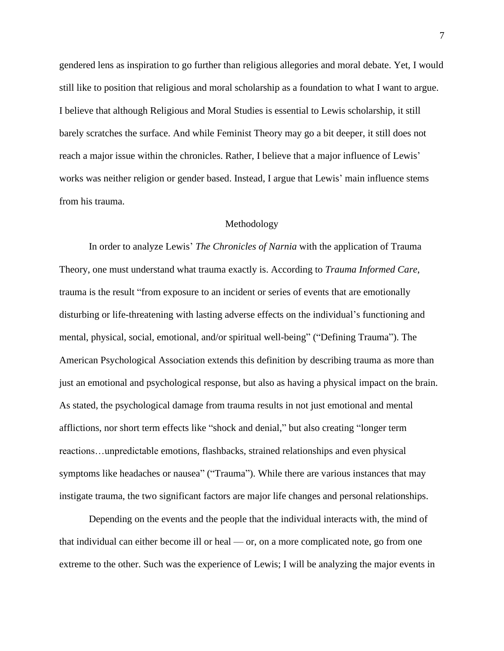gendered lens as inspiration to go further than religious allegories and moral debate. Yet, I would still like to position that religious and moral scholarship as a foundation to what I want to argue. I believe that although Religious and Moral Studies is essential to Lewis scholarship, it still barely scratches the surface. And while Feminist Theory may go a bit deeper, it still does not reach a major issue within the chronicles. Rather, I believe that a major influence of Lewis' works was neither religion or gender based. Instead, I argue that Lewis' main influence stems from his trauma.

### Methodology

In order to analyze Lewis' *The Chronicles of Narnia* with the application of Trauma Theory, one must understand what trauma exactly is. According to *Trauma Informed Care*, trauma is the result "from exposure to an incident or series of events that are emotionally disturbing or life-threatening with lasting adverse effects on the individual's functioning and mental, physical, social, emotional, and/or spiritual well-being" ("Defining Trauma"). The American Psychological Association extends this definition by describing trauma as more than just an emotional and psychological response, but also as having a physical impact on the brain. As stated, the psychological damage from trauma results in not just emotional and mental afflictions, nor short term effects like "shock and denial," but also creating "longer term reactions…unpredictable emotions, flashbacks, strained relationships and even physical symptoms like headaches or nausea" ("Trauma"). While there are various instances that may instigate trauma, the two significant factors are major life changes and personal relationships.

Depending on the events and the people that the individual interacts with, the mind of that individual can either become ill or heal — or, on a more complicated note, go from one extreme to the other. Such was the experience of Lewis; I will be analyzing the major events in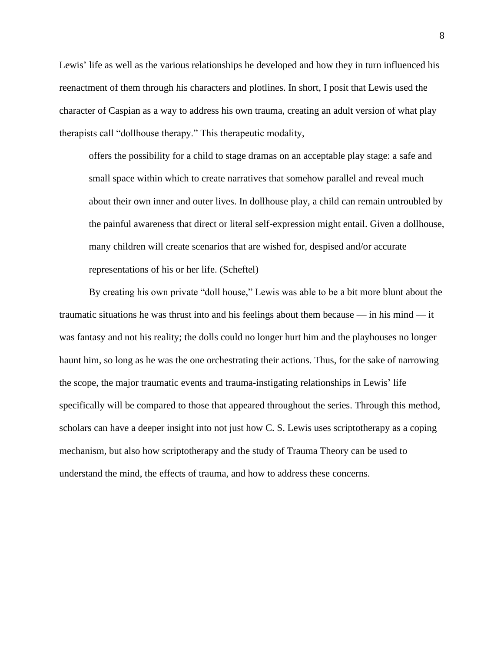Lewis' life as well as the various relationships he developed and how they in turn influenced his reenactment of them through his characters and plotlines. In short, I posit that Lewis used the character of Caspian as a way to address his own trauma, creating an adult version of what play therapists call "dollhouse therapy." This therapeutic modality,

offers the possibility for a child to stage dramas on an acceptable play stage: a safe and small space within which to create narratives that somehow parallel and reveal much about their own inner and outer lives. In dollhouse play, a child can remain untroubled by the painful awareness that direct or literal self-expression might entail. Given a dollhouse, many children will create scenarios that are wished for, despised and/or accurate representations of his or her life. (Scheftel)

By creating his own private "doll house," Lewis was able to be a bit more blunt about the traumatic situations he was thrust into and his feelings about them because — in his mind — it was fantasy and not his reality; the dolls could no longer hurt him and the playhouses no longer haunt him, so long as he was the one orchestrating their actions. Thus, for the sake of narrowing the scope, the major traumatic events and trauma-instigating relationships in Lewis' life specifically will be compared to those that appeared throughout the series. Through this method, scholars can have a deeper insight into not just how C. S. Lewis uses scriptotherapy as a coping mechanism, but also how scriptotherapy and the study of Trauma Theory can be used to understand the mind, the effects of trauma, and how to address these concerns.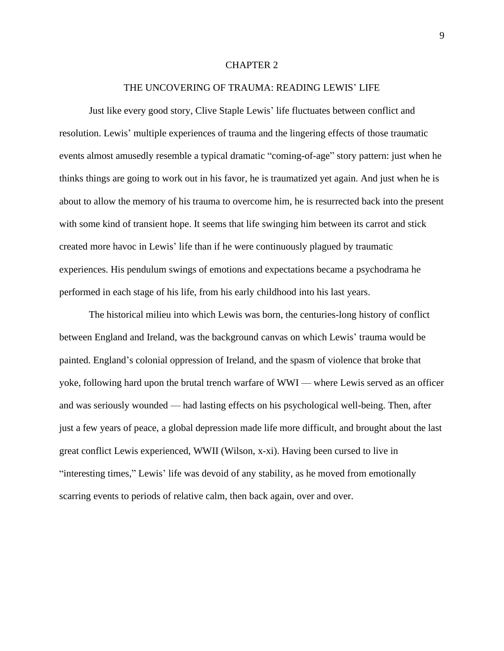#### CHAPTER 2

### THE UNCOVERING OF TRAUMA: READING LEWIS' LIFE

Just like every good story, Clive Staple Lewis' life fluctuates between conflict and resolution. Lewis' multiple experiences of trauma and the lingering effects of those traumatic events almost amusedly resemble a typical dramatic "coming-of-age" story pattern: just when he thinks things are going to work out in his favor, he is traumatized yet again. And just when he is about to allow the memory of his trauma to overcome him, he is resurrected back into the present with some kind of transient hope. It seems that life swinging him between its carrot and stick created more havoc in Lewis' life than if he were continuously plagued by traumatic experiences. His pendulum swings of emotions and expectations became a psychodrama he performed in each stage of his life, from his early childhood into his last years.

The historical milieu into which Lewis was born, the centuries-long history of conflict between England and Ireland, was the background canvas on which Lewis' trauma would be painted. England's colonial oppression of Ireland, and the spasm of violence that broke that yoke, following hard upon the brutal trench warfare of WWI — where Lewis served as an officer and was seriously wounded — had lasting effects on his psychological well-being. Then, after just a few years of peace, a global depression made life more difficult, and brought about the last great conflict Lewis experienced, WWII (Wilson, x-xi). Having been cursed to live in "interesting times," Lewis' life was devoid of any stability, as he moved from emotionally scarring events to periods of relative calm, then back again, over and over.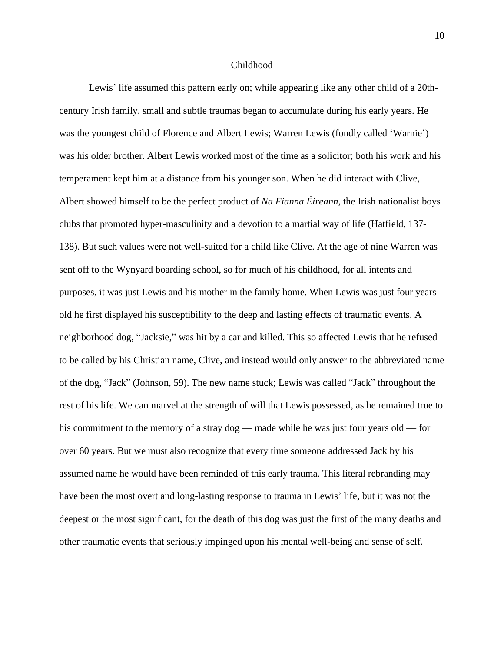#### Childhood

Lewis' life assumed this pattern early on; while appearing like any other child of a 20thcentury Irish family, small and subtle traumas began to accumulate during his early years. He was the youngest child of Florence and Albert Lewis; Warren Lewis (fondly called 'Warnie') was his older brother. Albert Lewis worked most of the time as a solicitor; both his work and his temperament kept him at a distance from his younger son. When he did interact with Clive, Albert showed himself to be the perfect product of *Na Fianna Éireann*, the Irish nationalist boys clubs that promoted hyper-masculinity and a devotion to a martial way of life (Hatfield, 137- 138). But such values were not well-suited for a child like Clive. At the age of nine Warren was sent off to the Wynyard boarding school, so for much of his childhood, for all intents and purposes, it was just Lewis and his mother in the family home. When Lewis was just four years old he first displayed his susceptibility to the deep and lasting effects of traumatic events. A neighborhood dog, "Jacksie," was hit by a car and killed. This so affected Lewis that he refused to be called by his Christian name, Clive, and instead would only answer to the abbreviated name of the dog, "Jack" (Johnson, 59). The new name stuck; Lewis was called "Jack" throughout the rest of his life. We can marvel at the strength of will that Lewis possessed, as he remained true to his commitment to the memory of a stray dog — made while he was just four years old — for over 60 years. But we must also recognize that every time someone addressed Jack by his assumed name he would have been reminded of this early trauma. This literal rebranding may have been the most overt and long-lasting response to trauma in Lewis' life, but it was not the deepest or the most significant, for the death of this dog was just the first of the many deaths and other traumatic events that seriously impinged upon his mental well-being and sense of self.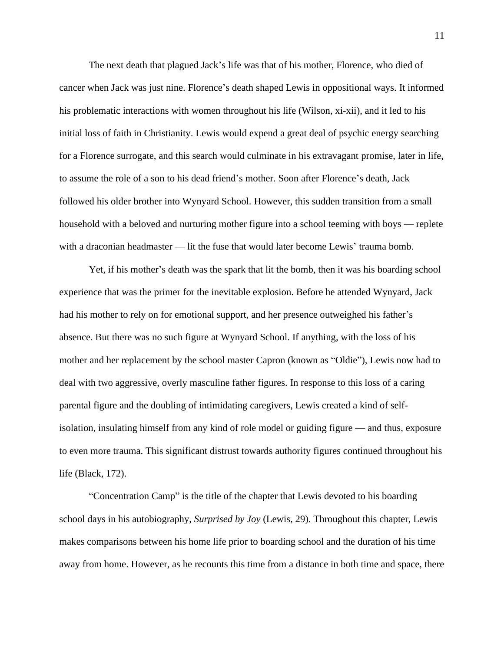The next death that plagued Jack's life was that of his mother, Florence, who died of cancer when Jack was just nine. Florence's death shaped Lewis in oppositional ways. It informed his problematic interactions with women throughout his life (Wilson, xi-xii), and it led to his initial loss of faith in Christianity. Lewis would expend a great deal of psychic energy searching for a Florence surrogate, and this search would culminate in his extravagant promise, later in life, to assume the role of a son to his dead friend's mother. Soon after Florence's death, Jack followed his older brother into Wynyard School. However, this sudden transition from a small household with a beloved and nurturing mother figure into a school teeming with boys — replete with a draconian headmaster — lit the fuse that would later become Lewis' trauma bomb.

Yet, if his mother's death was the spark that lit the bomb, then it was his boarding school experience that was the primer for the inevitable explosion. Before he attended Wynyard, Jack had his mother to rely on for emotional support, and her presence outweighed his father's absence. But there was no such figure at Wynyard School. If anything, with the loss of his mother and her replacement by the school master Capron (known as "Oldie"), Lewis now had to deal with two aggressive, overly masculine father figures. In response to this loss of a caring parental figure and the doubling of intimidating caregivers, Lewis created a kind of selfisolation, insulating himself from any kind of role model or guiding figure — and thus, exposure to even more trauma. This significant distrust towards authority figures continued throughout his life (Black, 172).

"Concentration Camp" is the title of the chapter that Lewis devoted to his boarding school days in his autobiography, *Surprised by Joy* (Lewis, 29). Throughout this chapter, Lewis makes comparisons between his home life prior to boarding school and the duration of his time away from home. However, as he recounts this time from a distance in both time and space, there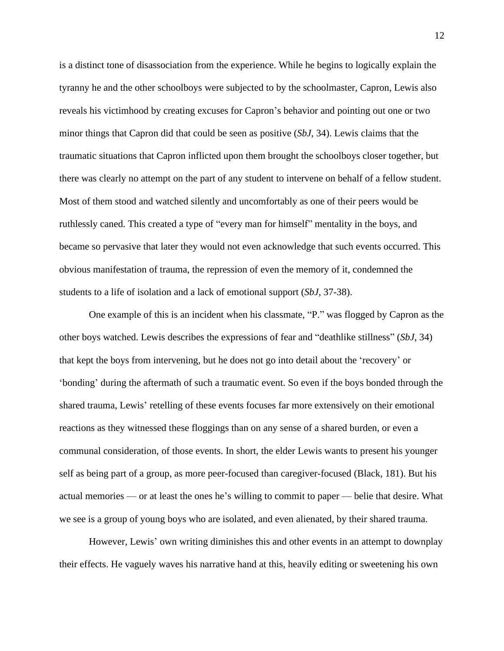is a distinct tone of disassociation from the experience. While he begins to logically explain the tyranny he and the other schoolboys were subjected to by the schoolmaster, Capron, Lewis also reveals his victimhood by creating excuses for Capron's behavior and pointing out one or two minor things that Capron did that could be seen as positive (*SbJ*, 34). Lewis claims that the traumatic situations that Capron inflicted upon them brought the schoolboys closer together, but there was clearly no attempt on the part of any student to intervene on behalf of a fellow student. Most of them stood and watched silently and uncomfortably as one of their peers would be ruthlessly caned. This created a type of "every man for himself" mentality in the boys, and became so pervasive that later they would not even acknowledge that such events occurred. This obvious manifestation of trauma, the repression of even the memory of it, condemned the students to a life of isolation and a lack of emotional support (*SbJ*, 37-38).

One example of this is an incident when his classmate, "P." was flogged by Capron as the other boys watched. Lewis describes the expressions of fear and "deathlike stillness" (*SbJ*, 34) that kept the boys from intervening, but he does not go into detail about the 'recovery' or 'bonding' during the aftermath of such a traumatic event. So even if the boys bonded through the shared trauma, Lewis' retelling of these events focuses far more extensively on their emotional reactions as they witnessed these floggings than on any sense of a shared burden, or even a communal consideration, of those events. In short, the elder Lewis wants to present his younger self as being part of a group, as more peer-focused than caregiver-focused (Black, 181). But his actual memories — or at least the ones he's willing to commit to paper — belie that desire. What we see is a group of young boys who are isolated, and even alienated, by their shared trauma.

However, Lewis' own writing diminishes this and other events in an attempt to downplay their effects. He vaguely waves his narrative hand at this, heavily editing or sweetening his own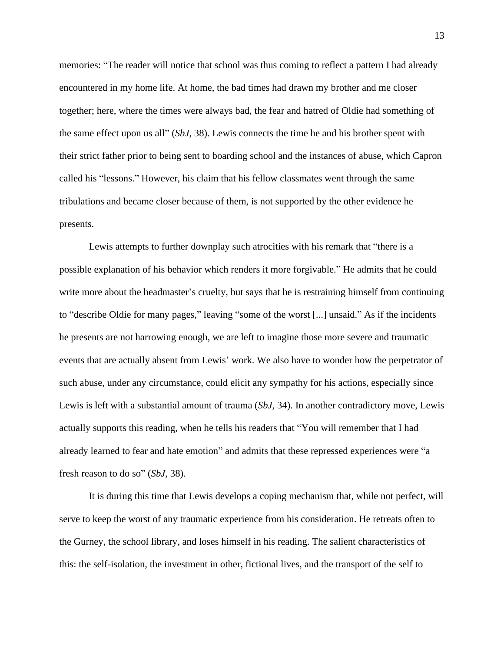memories: "The reader will notice that school was thus coming to reflect a pattern I had already encountered in my home life. At home, the bad times had drawn my brother and me closer together; here, where the times were always bad, the fear and hatred of Oldie had something of the same effect upon us all" (*SbJ*, 38). Lewis connects the time he and his brother spent with their strict father prior to being sent to boarding school and the instances of abuse, which Capron called his "lessons." However, his claim that his fellow classmates went through the same tribulations and became closer because of them, is not supported by the other evidence he presents.

Lewis attempts to further downplay such atrocities with his remark that "there is a possible explanation of his behavior which renders it more forgivable." He admits that he could write more about the headmaster's cruelty, but says that he is restraining himself from continuing to "describe Oldie for many pages," leaving "some of the worst [...] unsaid." As if the incidents he presents are not harrowing enough, we are left to imagine those more severe and traumatic events that are actually absent from Lewis' work. We also have to wonder how the perpetrator of such abuse, under any circumstance, could elicit any sympathy for his actions, especially since Lewis is left with a substantial amount of trauma (*SbJ,* 34). In another contradictory move, Lewis actually supports this reading, when he tells his readers that "You will remember that I had already learned to fear and hate emotion" and admits that these repressed experiences were "a fresh reason to do so" (*SbJ*, 38).

It is during this time that Lewis develops a coping mechanism that, while not perfect, will serve to keep the worst of any traumatic experience from his consideration. He retreats often to the Gurney, the school library, and loses himself in his reading. The salient characteristics of this: the self-isolation, the investment in other, fictional lives, and the transport of the self to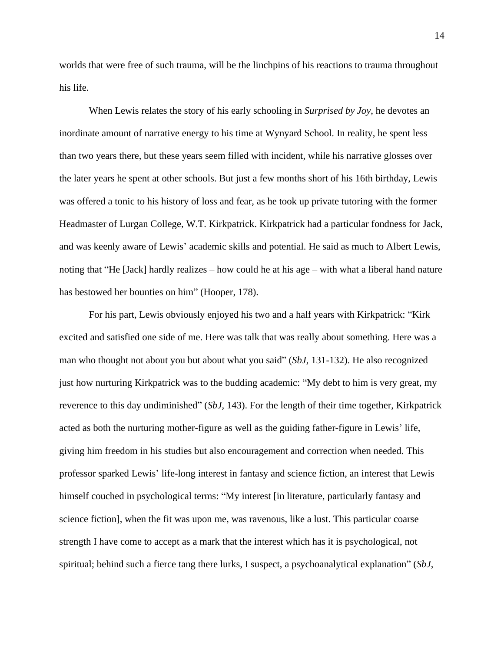worlds that were free of such trauma, will be the linchpins of his reactions to trauma throughout his life.

When Lewis relates the story of his early schooling in *Surprised by Joy*, he devotes an inordinate amount of narrative energy to his time at Wynyard School. In reality, he spent less than two years there, but these years seem filled with incident, while his narrative glosses over the later years he spent at other schools. But just a few months short of his 16th birthday, Lewis was offered a tonic to his history of loss and fear, as he took up private tutoring with the former Headmaster of Lurgan College, W.T. Kirkpatrick. Kirkpatrick had a particular fondness for Jack, and was keenly aware of Lewis' academic skills and potential. He said as much to Albert Lewis, noting that "He [Jack] hardly realizes – how could he at his age – with what a liberal hand nature has bestowed her bounties on him" (Hooper, 178).

For his part, Lewis obviously enjoyed his two and a half years with Kirkpatrick: "Kirk excited and satisfied one side of me. Here was talk that was really about something. Here was a man who thought not about you but about what you said" (*SbJ,* 131-132). He also recognized just how nurturing Kirkpatrick was to the budding academic: "My debt to him is very great, my reverence to this day undiminished" (*SbJ,* 143). For the length of their time together, Kirkpatrick acted as both the nurturing mother-figure as well as the guiding father-figure in Lewis' life, giving him freedom in his studies but also encouragement and correction when needed. This professor sparked Lewis' life-long interest in fantasy and science fiction, an interest that Lewis himself couched in psychological terms: "My interest [in literature, particularly fantasy and science fiction], when the fit was upon me, was ravenous, like a lust. This particular coarse strength I have come to accept as a mark that the interest which has it is psychological, not spiritual; behind such a fierce tang there lurks, I suspect, a psychoanalytical explanation" (*SbJ*,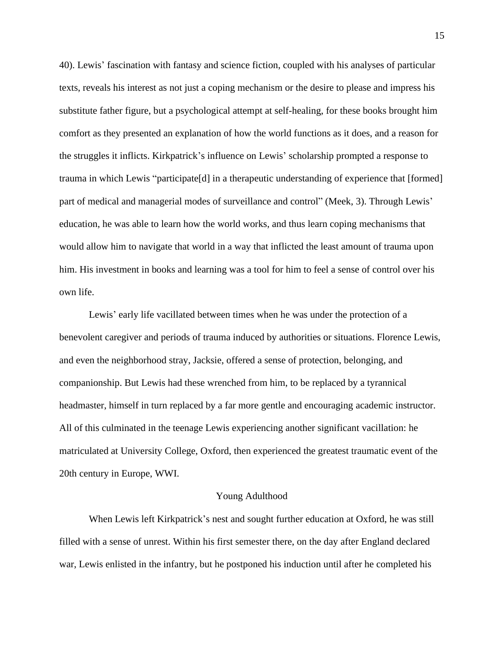40). Lewis' fascination with fantasy and science fiction, coupled with his analyses of particular texts, reveals his interest as not just a coping mechanism or the desire to please and impress his substitute father figure, but a psychological attempt at self-healing, for these books brought him comfort as they presented an explanation of how the world functions as it does, and a reason for the struggles it inflicts. Kirkpatrick's influence on Lewis' scholarship prompted a response to trauma in which Lewis "participate[d] in a therapeutic understanding of experience that [formed] part of medical and managerial modes of surveillance and control" (Meek, 3). Through Lewis' education, he was able to learn how the world works, and thus learn coping mechanisms that would allow him to navigate that world in a way that inflicted the least amount of trauma upon him. His investment in books and learning was a tool for him to feel a sense of control over his own life.

Lewis' early life vacillated between times when he was under the protection of a benevolent caregiver and periods of trauma induced by authorities or situations. Florence Lewis, and even the neighborhood stray, Jacksie, offered a sense of protection, belonging, and companionship. But Lewis had these wrenched from him, to be replaced by a tyrannical headmaster, himself in turn replaced by a far more gentle and encouraging academic instructor. All of this culminated in the teenage Lewis experiencing another significant vacillation: he matriculated at University College, Oxford, then experienced the greatest traumatic event of the 20th century in Europe, WWI.

#### Young Adulthood

When Lewis left Kirkpatrick's nest and sought further education at Oxford, he was still filled with a sense of unrest. Within his first semester there, on the day after England declared war, Lewis enlisted in the infantry, but he postponed his induction until after he completed his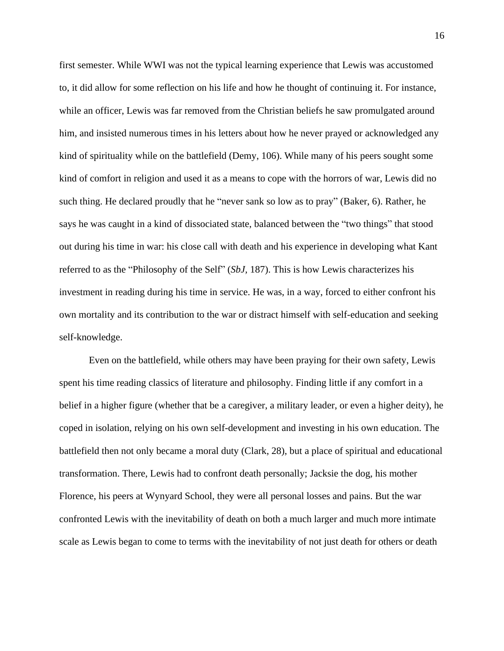first semester. While WWI was not the typical learning experience that Lewis was accustomed to, it did allow for some reflection on his life and how he thought of continuing it. For instance, while an officer, Lewis was far removed from the Christian beliefs he saw promulgated around him, and insisted numerous times in his letters about how he never prayed or acknowledged any kind of spirituality while on the battlefield (Demy, 106). While many of his peers sought some kind of comfort in religion and used it as a means to cope with the horrors of war, Lewis did no such thing. He declared proudly that he "never sank so low as to pray" (Baker, 6). Rather, he says he was caught in a kind of dissociated state, balanced between the "two things" that stood out during his time in war: his close call with death and his experience in developing what Kant referred to as the "Philosophy of the Self" (*SbJ,* 187). This is how Lewis characterizes his investment in reading during his time in service. He was, in a way, forced to either confront his own mortality and its contribution to the war or distract himself with self-education and seeking self-knowledge.

Even on the battlefield, while others may have been praying for their own safety, Lewis spent his time reading classics of literature and philosophy. Finding little if any comfort in a belief in a higher figure (whether that be a caregiver, a military leader, or even a higher deity), he coped in isolation, relying on his own self-development and investing in his own education. The battlefield then not only became a moral duty (Clark, 28), but a place of spiritual and educational transformation. There, Lewis had to confront death personally; Jacksie the dog, his mother Florence, his peers at Wynyard School, they were all personal losses and pains. But the war confronted Lewis with the inevitability of death on both a much larger and much more intimate scale as Lewis began to come to terms with the inevitability of not just death for others or death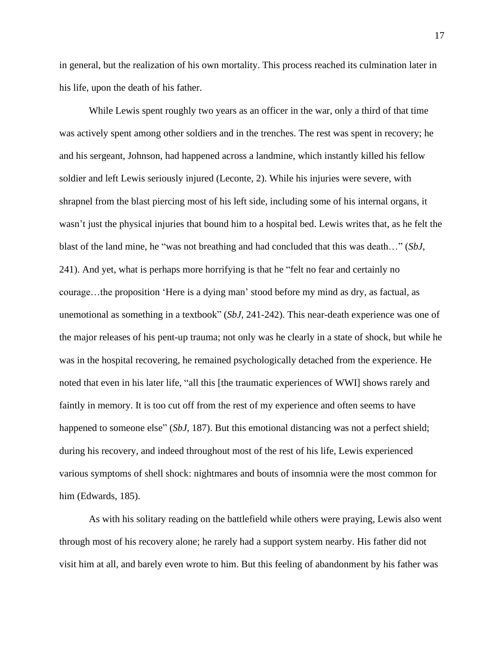in general, but the realization of his own mortality. This process reached its culmination later in his life, upon the death of his father.

While Lewis spent roughly two years as an officer in the war, only a third of that time was actively spent among other soldiers and in the trenches. The rest was spent in recovery; he and his sergeant, Johnson, had happened across a landmine, which instantly killed his fellow soldier and left Lewis seriously injured (Leconte, 2). While his injuries were severe, with shrapnel from the blast piercing most of his left side, including some of his internal organs, it wasn't just the physical injuries that bound him to a hospital bed. Lewis writes that, as he felt the blast of the land mine, he "was not breathing and had concluded that this was death…" (*SbJ*, 241). And yet, what is perhaps more horrifying is that he "felt no fear and certainly no courage…the proposition 'Here is a dying man' stood before my mind as dry, as factual, as unemotional as something in a textbook" (*SbJ*, 241-242). This near-death experience was one of the major releases of his pent-up trauma; not only was he clearly in a state of shock, but while he was in the hospital recovering, he remained psychologically detached from the experience. He noted that even in his later life, "all this [the traumatic experiences of WWI] shows rarely and faintly in memory. It is too cut off from the rest of my experience and often seems to have happened to someone else" (*SbJ*, 187). But this emotional distancing was not a perfect shield; during his recovery, and indeed throughout most of the rest of his life, Lewis experienced various symptoms of shell shock: nightmares and bouts of insomnia were the most common for him (Edwards, 185).

As with his solitary reading on the battlefield while others were praying, Lewis also went through most of his recovery alone; he rarely had a support system nearby. His father did not visit him at all, and barely even wrote to him. But this feeling of abandonment by his father was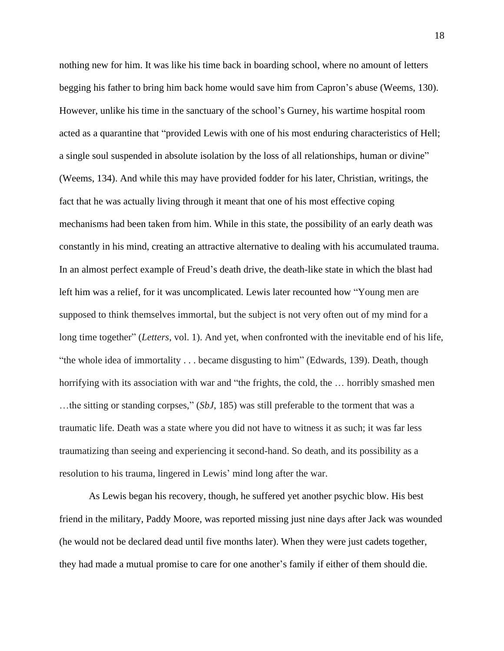nothing new for him. It was like his time back in boarding school, where no amount of letters begging his father to bring him back home would save him from Capron's abuse (Weems, 130). However, unlike his time in the sanctuary of the school's Gurney, his wartime hospital room acted as a quarantine that "provided Lewis with one of his most enduring characteristics of Hell; a single soul suspended in absolute isolation by the loss of all relationships, human or divine" (Weems, 134). And while this may have provided fodder for his later, Christian, writings, the fact that he was actually living through it meant that one of his most effective coping mechanisms had been taken from him. While in this state, the possibility of an early death was constantly in his mind, creating an attractive alternative to dealing with his accumulated trauma. In an almost perfect example of Freud's death drive, the death-like state in which the blast had left him was a relief, for it was uncomplicated. Lewis later recounted how "Young men are supposed to think themselves immortal, but the subject is not very often out of my mind for a long time together" (*Letters*, vol. 1). And yet, when confronted with the inevitable end of his life, "the whole idea of immortality . . . became disgusting to him" (Edwards, 139). Death, though horrifying with its association with war and "the frights, the cold, the ... horribly smashed men …the sitting or standing corpses," (*SbJ*, 185) was still preferable to the torment that was a traumatic life. Death was a state where you did not have to witness it as such; it was far less traumatizing than seeing and experiencing it second-hand. So death, and its possibility as a resolution to his trauma, lingered in Lewis' mind long after the war.

As Lewis began his recovery, though, he suffered yet another psychic blow. His best friend in the military, Paddy Moore, was reported missing just nine days after Jack was wounded (he would not be declared dead until five months later). When they were just cadets together, they had made a mutual promise to care for one another's family if either of them should die.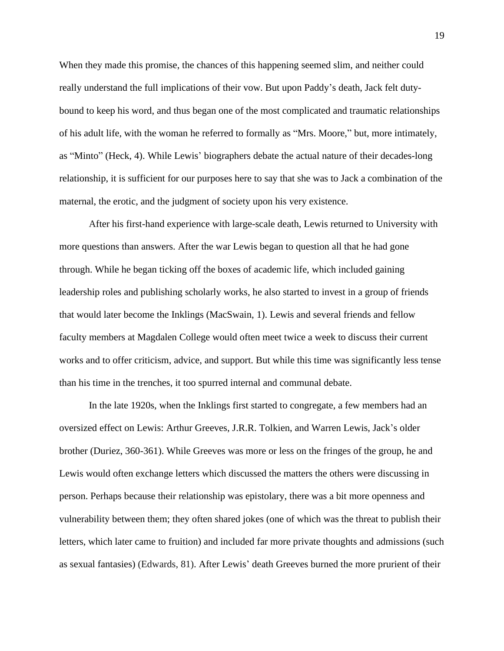When they made this promise, the chances of this happening seemed slim, and neither could really understand the full implications of their vow. But upon Paddy's death, Jack felt dutybound to keep his word, and thus began one of the most complicated and traumatic relationships of his adult life, with the woman he referred to formally as "Mrs. Moore," but, more intimately, as "Minto" (Heck, 4). While Lewis' biographers debate the actual nature of their decades-long relationship, it is sufficient for our purposes here to say that she was to Jack a combination of the maternal, the erotic, and the judgment of society upon his very existence.

After his first-hand experience with large-scale death, Lewis returned to University with more questions than answers. After the war Lewis began to question all that he had gone through. While he began ticking off the boxes of academic life, which included gaining leadership roles and publishing scholarly works, he also started to invest in a group of friends that would later become the Inklings (MacSwain, 1). Lewis and several friends and fellow faculty members at Magdalen College would often meet twice a week to discuss their current works and to offer criticism, advice, and support. But while this time was significantly less tense than his time in the trenches, it too spurred internal and communal debate.

In the late 1920s, when the Inklings first started to congregate, a few members had an oversized effect on Lewis: Arthur Greeves, J.R.R. Tolkien, and Warren Lewis, Jack's older brother (Duriez, 360-361). While Greeves was more or less on the fringes of the group, he and Lewis would often exchange letters which discussed the matters the others were discussing in person. Perhaps because their relationship was epistolary, there was a bit more openness and vulnerability between them; they often shared jokes (one of which was the threat to publish their letters, which later came to fruition) and included far more private thoughts and admissions (such as sexual fantasies) (Edwards, 81). After Lewis' death Greeves burned the more prurient of their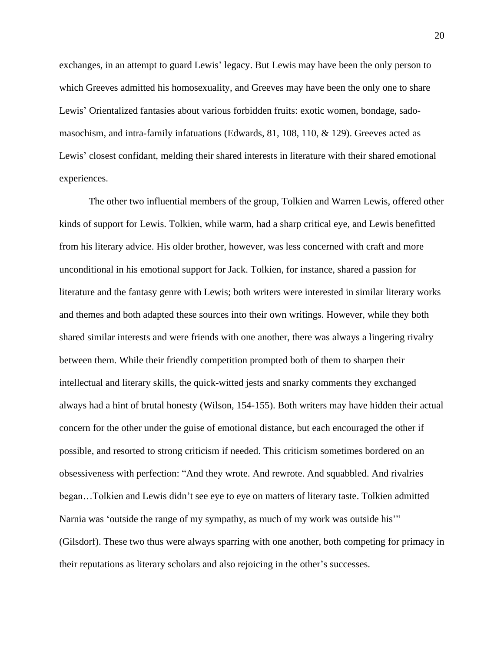exchanges, in an attempt to guard Lewis' legacy. But Lewis may have been the only person to which Greeves admitted his homosexuality, and Greeves may have been the only one to share Lewis' Orientalized fantasies about various forbidden fruits: exotic women, bondage, sadomasochism, and intra-family infatuations (Edwards, 81, 108, 110, & 129). Greeves acted as Lewis' closest confidant, melding their shared interests in literature with their shared emotional experiences.

The other two influential members of the group, Tolkien and Warren Lewis, offered other kinds of support for Lewis. Tolkien, while warm, had a sharp critical eye, and Lewis benefitted from his literary advice. His older brother, however, was less concerned with craft and more unconditional in his emotional support for Jack. Tolkien, for instance, shared a passion for literature and the fantasy genre with Lewis; both writers were interested in similar literary works and themes and both adapted these sources into their own writings. However, while they both shared similar interests and were friends with one another, there was always a lingering rivalry between them. While their friendly competition prompted both of them to sharpen their intellectual and literary skills, the quick-witted jests and snarky comments they exchanged always had a hint of brutal honesty (Wilson, 154-155). Both writers may have hidden their actual concern for the other under the guise of emotional distance, but each encouraged the other if possible, and resorted to strong criticism if needed. This criticism sometimes bordered on an obsessiveness with perfection: "And they wrote. And rewrote. And squabbled. And rivalries began…Tolkien and Lewis didn't see eye to eye on matters of literary taste. Tolkien admitted Narnia was 'outside the range of my sympathy, as much of my work was outside his'" (Gilsdorf). These two thus were always sparring with one another, both competing for primacy in their reputations as literary scholars and also rejoicing in the other's successes.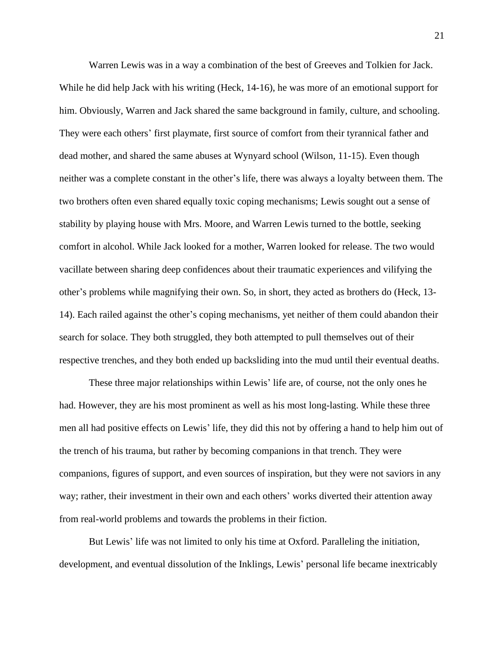Warren Lewis was in a way a combination of the best of Greeves and Tolkien for Jack. While he did help Jack with his writing (Heck, 14-16), he was more of an emotional support for him. Obviously, Warren and Jack shared the same background in family, culture, and schooling. They were each others' first playmate, first source of comfort from their tyrannical father and dead mother, and shared the same abuses at Wynyard school (Wilson, 11-15). Even though neither was a complete constant in the other's life, there was always a loyalty between them. The two brothers often even shared equally toxic coping mechanisms; Lewis sought out a sense of stability by playing house with Mrs. Moore, and Warren Lewis turned to the bottle, seeking comfort in alcohol. While Jack looked for a mother, Warren looked for release. The two would vacillate between sharing deep confidences about their traumatic experiences and vilifying the other's problems while magnifying their own. So, in short, they acted as brothers do (Heck, 13- 14). Each railed against the other's coping mechanisms, yet neither of them could abandon their search for solace. They both struggled, they both attempted to pull themselves out of their respective trenches, and they both ended up backsliding into the mud until their eventual deaths.

These three major relationships within Lewis' life are, of course, not the only ones he had. However, they are his most prominent as well as his most long-lasting. While these three men all had positive effects on Lewis' life, they did this not by offering a hand to help him out of the trench of his trauma, but rather by becoming companions in that trench. They were companions, figures of support, and even sources of inspiration, but they were not saviors in any way; rather, their investment in their own and each others' works diverted their attention away from real-world problems and towards the problems in their fiction.

But Lewis' life was not limited to only his time at Oxford. Paralleling the initiation, development, and eventual dissolution of the Inklings, Lewis' personal life became inextricably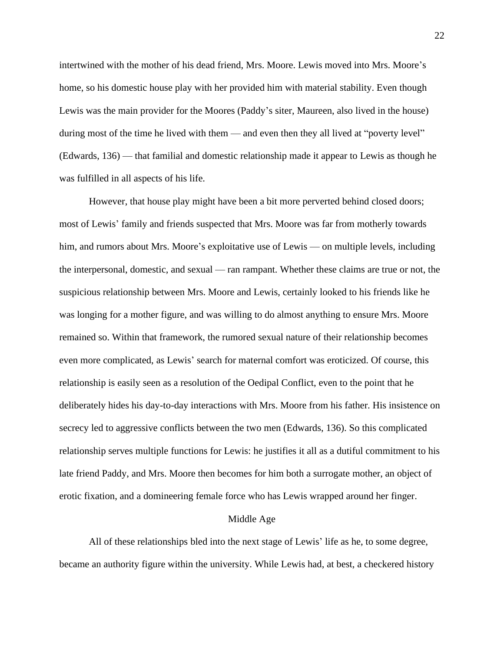intertwined with the mother of his dead friend, Mrs. Moore. Lewis moved into Mrs. Moore's home, so his domestic house play with her provided him with material stability. Even though Lewis was the main provider for the Moores (Paddy's siter, Maureen, also lived in the house) during most of the time he lived with them — and even then they all lived at "poverty level" (Edwards, 136) — that familial and domestic relationship made it appear to Lewis as though he was fulfilled in all aspects of his life.

However, that house play might have been a bit more perverted behind closed doors; most of Lewis' family and friends suspected that Mrs. Moore was far from motherly towards him, and rumors about Mrs. Moore's exploitative use of Lewis — on multiple levels, including the interpersonal, domestic, and sexual — ran rampant. Whether these claims are true or not, the suspicious relationship between Mrs. Moore and Lewis, certainly looked to his friends like he was longing for a mother figure, and was willing to do almost anything to ensure Mrs. Moore remained so. Within that framework, the rumored sexual nature of their relationship becomes even more complicated, as Lewis' search for maternal comfort was eroticized. Of course, this relationship is easily seen as a resolution of the Oedipal Conflict, even to the point that he deliberately hides his day-to-day interactions with Mrs. Moore from his father. His insistence on secrecy led to aggressive conflicts between the two men (Edwards, 136). So this complicated relationship serves multiple functions for Lewis: he justifies it all as a dutiful commitment to his late friend Paddy, and Mrs. Moore then becomes for him both a surrogate mother, an object of erotic fixation, and a domineering female force who has Lewis wrapped around her finger.

#### Middle Age

All of these relationships bled into the next stage of Lewis' life as he, to some degree, became an authority figure within the university. While Lewis had, at best, a checkered history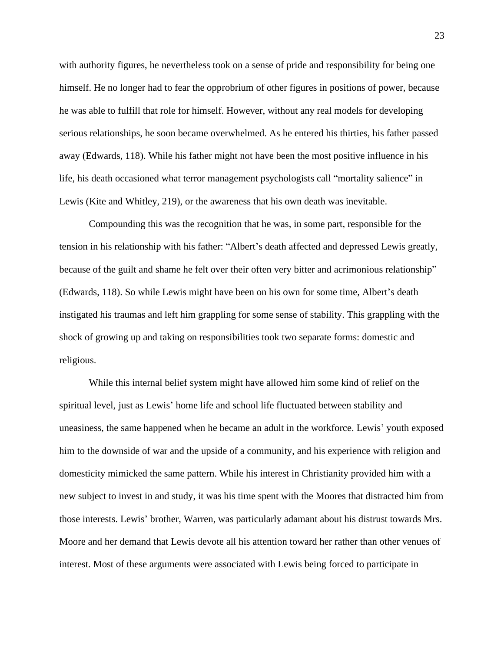with authority figures, he nevertheless took on a sense of pride and responsibility for being one himself. He no longer had to fear the opprobrium of other figures in positions of power, because he was able to fulfill that role for himself. However, without any real models for developing serious relationships, he soon became overwhelmed. As he entered his thirties, his father passed away (Edwards, 118). While his father might not have been the most positive influence in his life, his death occasioned what terror management psychologists call "mortality salience" in Lewis (Kite and Whitley, 219), or the awareness that his own death was inevitable.

Compounding this was the recognition that he was, in some part, responsible for the tension in his relationship with his father: "Albert's death affected and depressed Lewis greatly, because of the guilt and shame he felt over their often very bitter and acrimonious relationship" (Edwards, 118). So while Lewis might have been on his own for some time, Albert's death instigated his traumas and left him grappling for some sense of stability. This grappling with the shock of growing up and taking on responsibilities took two separate forms: domestic and religious.

While this internal belief system might have allowed him some kind of relief on the spiritual level, just as Lewis' home life and school life fluctuated between stability and uneasiness, the same happened when he became an adult in the workforce. Lewis' youth exposed him to the downside of war and the upside of a community, and his experience with religion and domesticity mimicked the same pattern. While his interest in Christianity provided him with a new subject to invest in and study, it was his time spent with the Moores that distracted him from those interests. Lewis' brother, Warren, was particularly adamant about his distrust towards Mrs. Moore and her demand that Lewis devote all his attention toward her rather than other venues of interest. Most of these arguments were associated with Lewis being forced to participate in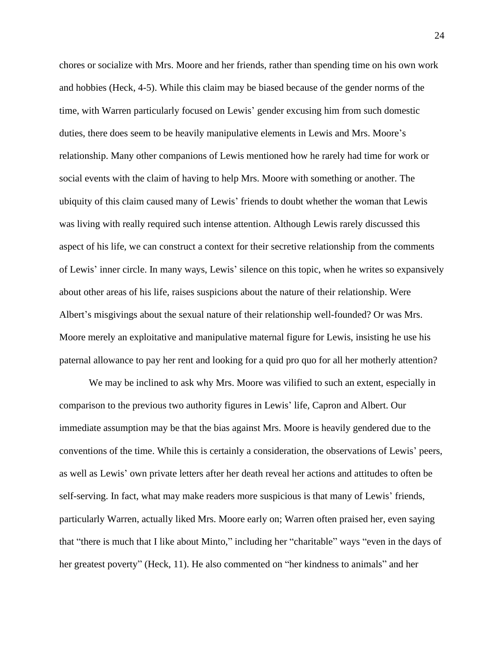chores or socialize with Mrs. Moore and her friends, rather than spending time on his own work and hobbies (Heck, 4-5). While this claim may be biased because of the gender norms of the time, with Warren particularly focused on Lewis' gender excusing him from such domestic duties, there does seem to be heavily manipulative elements in Lewis and Mrs. Moore's relationship. Many other companions of Lewis mentioned how he rarely had time for work or social events with the claim of having to help Mrs. Moore with something or another. The ubiquity of this claim caused many of Lewis' friends to doubt whether the woman that Lewis was living with really required such intense attention. Although Lewis rarely discussed this aspect of his life, we can construct a context for their secretive relationship from the comments of Lewis' inner circle. In many ways, Lewis' silence on this topic, when he writes so expansively about other areas of his life, raises suspicions about the nature of their relationship. Were Albert's misgivings about the sexual nature of their relationship well-founded? Or was Mrs. Moore merely an exploitative and manipulative maternal figure for Lewis, insisting he use his paternal allowance to pay her rent and looking for a quid pro quo for all her motherly attention?

We may be inclined to ask why Mrs. Moore was vilified to such an extent, especially in comparison to the previous two authority figures in Lewis' life, Capron and Albert. Our immediate assumption may be that the bias against Mrs. Moore is heavily gendered due to the conventions of the time. While this is certainly a consideration, the observations of Lewis' peers, as well as Lewis' own private letters after her death reveal her actions and attitudes to often be self-serving. In fact, what may make readers more suspicious is that many of Lewis' friends, particularly Warren, actually liked Mrs. Moore early on; Warren often praised her, even saying that "there is much that I like about Minto," including her "charitable" ways "even in the days of her greatest poverty" (Heck, 11). He also commented on "her kindness to animals" and her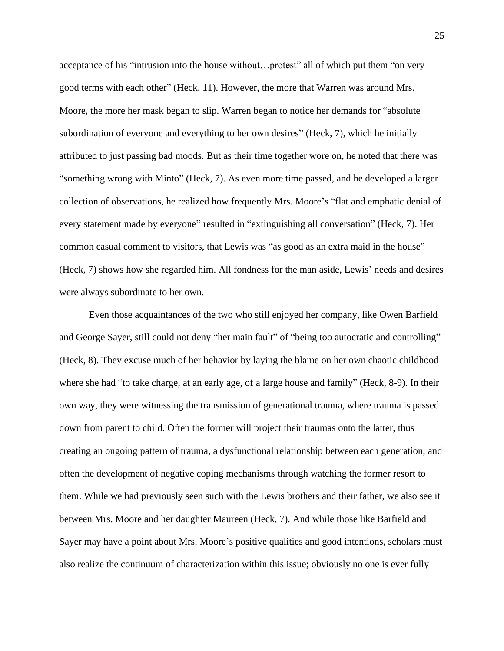acceptance of his "intrusion into the house without…protest" all of which put them "on very good terms with each other" (Heck, 11). However, the more that Warren was around Mrs. Moore, the more her mask began to slip. Warren began to notice her demands for "absolute subordination of everyone and everything to her own desires" (Heck, 7), which he initially attributed to just passing bad moods. But as their time together wore on, he noted that there was "something wrong with Minto" (Heck, 7). As even more time passed, and he developed a larger collection of observations, he realized how frequently Mrs. Moore's "flat and emphatic denial of every statement made by everyone" resulted in "extinguishing all conversation" (Heck, 7). Her common casual comment to visitors, that Lewis was "as good as an extra maid in the house" (Heck, 7) shows how she regarded him. All fondness for the man aside, Lewis' needs and desires were always subordinate to her own.

Even those acquaintances of the two who still enjoyed her company, like Owen Barfield and George Sayer, still could not deny "her main fault" of "being too autocratic and controlling" (Heck, 8). They excuse much of her behavior by laying the blame on her own chaotic childhood where she had "to take charge, at an early age, of a large house and family" (Heck, 8-9). In their own way, they were witnessing the transmission of generational trauma, where trauma is passed down from parent to child. Often the former will project their traumas onto the latter, thus creating an ongoing pattern of trauma, a dysfunctional relationship between each generation, and often the development of negative coping mechanisms through watching the former resort to them. While we had previously seen such with the Lewis brothers and their father, we also see it between Mrs. Moore and her daughter Maureen (Heck, 7). And while those like Barfield and Sayer may have a point about Mrs. Moore's positive qualities and good intentions, scholars must also realize the continuum of characterization within this issue; obviously no one is ever fully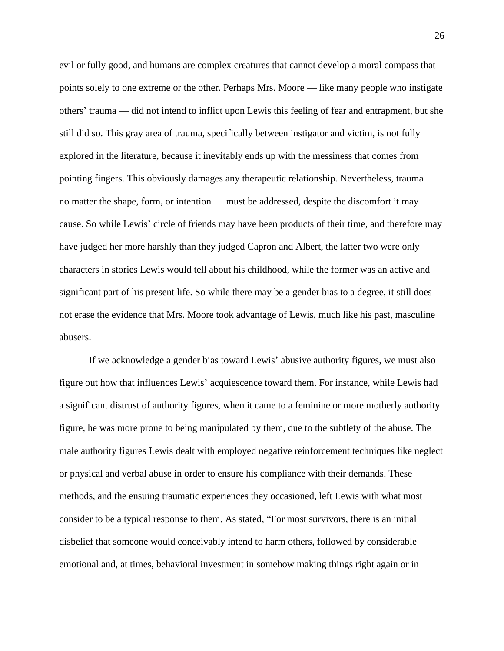evil or fully good, and humans are complex creatures that cannot develop a moral compass that points solely to one extreme or the other. Perhaps Mrs. Moore — like many people who instigate others' trauma — did not intend to inflict upon Lewis this feeling of fear and entrapment, but she still did so. This gray area of trauma, specifically between instigator and victim, is not fully explored in the literature, because it inevitably ends up with the messiness that comes from pointing fingers. This obviously damages any therapeutic relationship. Nevertheless, trauma no matter the shape, form, or intention — must be addressed, despite the discomfort it may cause. So while Lewis' circle of friends may have been products of their time, and therefore may have judged her more harshly than they judged Capron and Albert, the latter two were only characters in stories Lewis would tell about his childhood, while the former was an active and significant part of his present life. So while there may be a gender bias to a degree, it still does not erase the evidence that Mrs. Moore took advantage of Lewis, much like his past, masculine abusers.

If we acknowledge a gender bias toward Lewis' abusive authority figures, we must also figure out how that influences Lewis' acquiescence toward them. For instance, while Lewis had a significant distrust of authority figures, when it came to a feminine or more motherly authority figure, he was more prone to being manipulated by them, due to the subtlety of the abuse. The male authority figures Lewis dealt with employed negative reinforcement techniques like neglect or physical and verbal abuse in order to ensure his compliance with their demands. These methods, and the ensuing traumatic experiences they occasioned, left Lewis with what most consider to be a typical response to them. As stated, "For most survivors, there is an initial disbelief that someone would conceivably intend to harm others, followed by considerable emotional and, at times, behavioral investment in somehow making things right again or in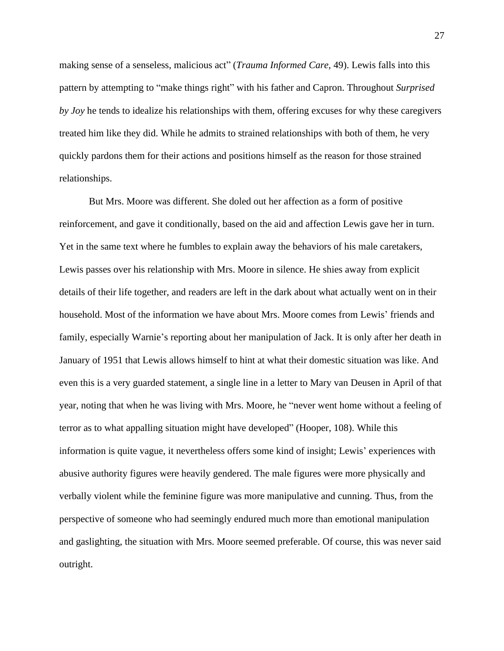making sense of a senseless, malicious act" (*Trauma Informed Care,* 49). Lewis falls into this pattern by attempting to "make things right" with his father and Capron. Throughout *Surprised by Joy* he tends to idealize his relationships with them, offering excuses for why these caregivers treated him like they did. While he admits to strained relationships with both of them, he very quickly pardons them for their actions and positions himself as the reason for those strained relationships.

But Mrs. Moore was different. She doled out her affection as a form of positive reinforcement, and gave it conditionally, based on the aid and affection Lewis gave her in turn. Yet in the same text where he fumbles to explain away the behaviors of his male caretakers, Lewis passes over his relationship with Mrs. Moore in silence. He shies away from explicit details of their life together, and readers are left in the dark about what actually went on in their household. Most of the information we have about Mrs. Moore comes from Lewis' friends and family, especially Warnie's reporting about her manipulation of Jack. It is only after her death in January of 1951 that Lewis allows himself to hint at what their domestic situation was like. And even this is a very guarded statement, a single line in a letter to Mary van Deusen in April of that year, noting that when he was living with Mrs. Moore, he "never went home without a feeling of terror as to what appalling situation might have developed" (Hooper, 108). While this information is quite vague, it nevertheless offers some kind of insight; Lewis' experiences with abusive authority figures were heavily gendered. The male figures were more physically and verbally violent while the feminine figure was more manipulative and cunning. Thus, from the perspective of someone who had seemingly endured much more than emotional manipulation and gaslighting, the situation with Mrs. Moore seemed preferable. Of course, this was never said outright.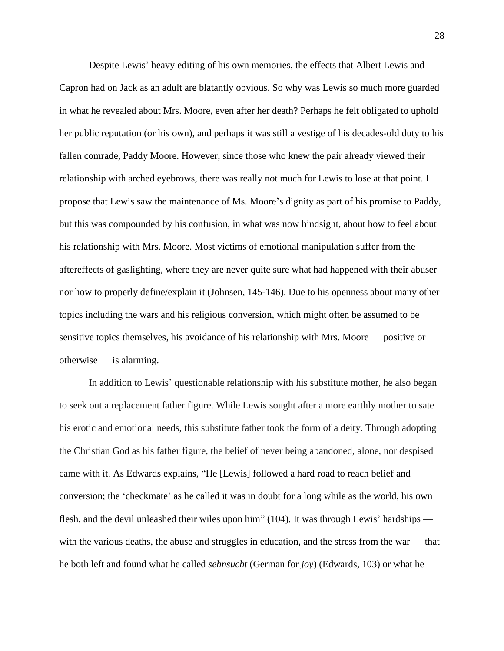Despite Lewis' heavy editing of his own memories, the effects that Albert Lewis and Capron had on Jack as an adult are blatantly obvious. So why was Lewis so much more guarded in what he revealed about Mrs. Moore, even after her death? Perhaps he felt obligated to uphold her public reputation (or his own), and perhaps it was still a vestige of his decades-old duty to his fallen comrade, Paddy Moore. However, since those who knew the pair already viewed their relationship with arched eyebrows, there was really not much for Lewis to lose at that point. I propose that Lewis saw the maintenance of Ms. Moore's dignity as part of his promise to Paddy, but this was compounded by his confusion, in what was now hindsight, about how to feel about his relationship with Mrs. Moore. Most victims of emotional manipulation suffer from the aftereffects of gaslighting, where they are never quite sure what had happened with their abuser nor how to properly define/explain it (Johnsen, 145-146). Due to his openness about many other topics including the wars and his religious conversion, which might often be assumed to be sensitive topics themselves, his avoidance of his relationship with Mrs. Moore — positive or otherwise — is alarming.

In addition to Lewis' questionable relationship with his substitute mother, he also began to seek out a replacement father figure. While Lewis sought after a more earthly mother to sate his erotic and emotional needs, this substitute father took the form of a deity. Through adopting the Christian God as his father figure, the belief of never being abandoned, alone, nor despised came with it. As Edwards explains, "He [Lewis] followed a hard road to reach belief and conversion; the 'checkmate' as he called it was in doubt for a long while as the world, his own flesh, and the devil unleashed their wiles upon him" (104). It was through Lewis' hardships with the various deaths, the abuse and struggles in education, and the stress from the war — that he both left and found what he called *sehnsucht* (German for *joy*) (Edwards, 103) or what he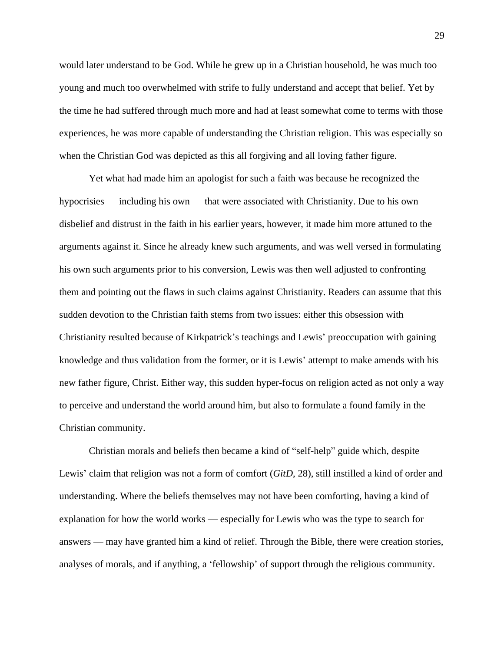would later understand to be God. While he grew up in a Christian household, he was much too young and much too overwhelmed with strife to fully understand and accept that belief. Yet by the time he had suffered through much more and had at least somewhat come to terms with those experiences, he was more capable of understanding the Christian religion. This was especially so when the Christian God was depicted as this all forgiving and all loving father figure.

Yet what had made him an apologist for such a faith was because he recognized the hypocrisies — including his own — that were associated with Christianity. Due to his own disbelief and distrust in the faith in his earlier years, however, it made him more attuned to the arguments against it. Since he already knew such arguments, and was well versed in formulating his own such arguments prior to his conversion, Lewis was then well adjusted to confronting them and pointing out the flaws in such claims against Christianity. Readers can assume that this sudden devotion to the Christian faith stems from two issues: either this obsession with Christianity resulted because of Kirkpatrick's teachings and Lewis' preoccupation with gaining knowledge and thus validation from the former, or it is Lewis' attempt to make amends with his new father figure, Christ. Either way, this sudden hyper-focus on religion acted as not only a way to perceive and understand the world around him, but also to formulate a found family in the Christian community.

Christian morals and beliefs then became a kind of "self-help" guide which, despite Lewis' claim that religion was not a form of comfort (*GitD*, 28), still instilled a kind of order and understanding. Where the beliefs themselves may not have been comforting, having a kind of explanation for how the world works — especially for Lewis who was the type to search for answers — may have granted him a kind of relief. Through the Bible, there were creation stories, analyses of morals, and if anything, a 'fellowship' of support through the religious community.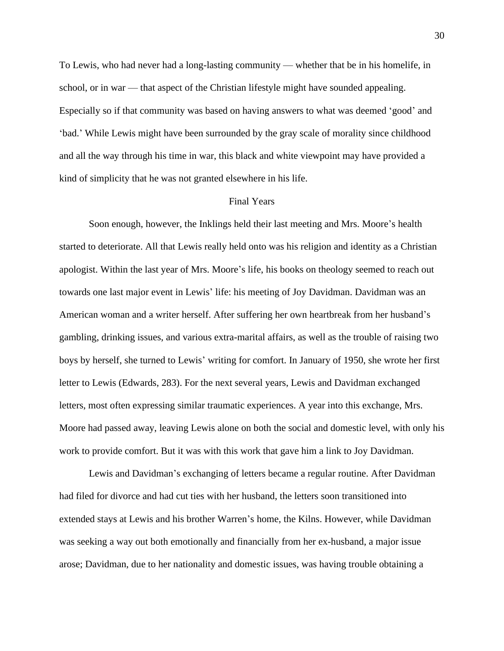To Lewis, who had never had a long-lasting community — whether that be in his homelife, in school, or in war — that aspect of the Christian lifestyle might have sounded appealing. Especially so if that community was based on having answers to what was deemed 'good' and 'bad.' While Lewis might have been surrounded by the gray scale of morality since childhood and all the way through his time in war, this black and white viewpoint may have provided a kind of simplicity that he was not granted elsewhere in his life.

### Final Years

Soon enough, however, the Inklings held their last meeting and Mrs. Moore's health started to deteriorate. All that Lewis really held onto was his religion and identity as a Christian apologist. Within the last year of Mrs. Moore's life, his books on theology seemed to reach out towards one last major event in Lewis' life: his meeting of Joy Davidman. Davidman was an American woman and a writer herself. After suffering her own heartbreak from her husband's gambling, drinking issues, and various extra-marital affairs, as well as the trouble of raising two boys by herself, she turned to Lewis' writing for comfort. In January of 1950, she wrote her first letter to Lewis (Edwards, 283). For the next several years, Lewis and Davidman exchanged letters, most often expressing similar traumatic experiences. A year into this exchange, Mrs. Moore had passed away, leaving Lewis alone on both the social and domestic level, with only his work to provide comfort. But it was with this work that gave him a link to Joy Davidman.

Lewis and Davidman's exchanging of letters became a regular routine. After Davidman had filed for divorce and had cut ties with her husband, the letters soon transitioned into extended stays at Lewis and his brother Warren's home, the Kilns. However, while Davidman was seeking a way out both emotionally and financially from her ex-husband, a major issue arose; Davidman, due to her nationality and domestic issues, was having trouble obtaining a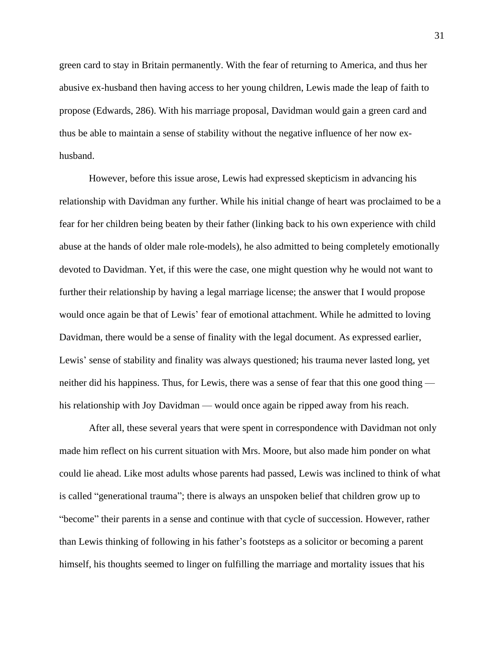green card to stay in Britain permanently. With the fear of returning to America, and thus her abusive ex-husband then having access to her young children, Lewis made the leap of faith to propose (Edwards, 286). With his marriage proposal, Davidman would gain a green card and thus be able to maintain a sense of stability without the negative influence of her now exhusband.

However, before this issue arose, Lewis had expressed skepticism in advancing his relationship with Davidman any further. While his initial change of heart was proclaimed to be a fear for her children being beaten by their father (linking back to his own experience with child abuse at the hands of older male role-models), he also admitted to being completely emotionally devoted to Davidman. Yet, if this were the case, one might question why he would not want to further their relationship by having a legal marriage license; the answer that I would propose would once again be that of Lewis' fear of emotional attachment. While he admitted to loving Davidman, there would be a sense of finality with the legal document. As expressed earlier, Lewis' sense of stability and finality was always questioned; his trauma never lasted long, yet neither did his happiness. Thus, for Lewis, there was a sense of fear that this one good thing his relationship with Joy Davidman — would once again be ripped away from his reach.

After all, these several years that were spent in correspondence with Davidman not only made him reflect on his current situation with Mrs. Moore, but also made him ponder on what could lie ahead. Like most adults whose parents had passed, Lewis was inclined to think of what is called "generational trauma"; there is always an unspoken belief that children grow up to "become" their parents in a sense and continue with that cycle of succession. However, rather than Lewis thinking of following in his father's footsteps as a solicitor or becoming a parent himself, his thoughts seemed to linger on fulfilling the marriage and mortality issues that his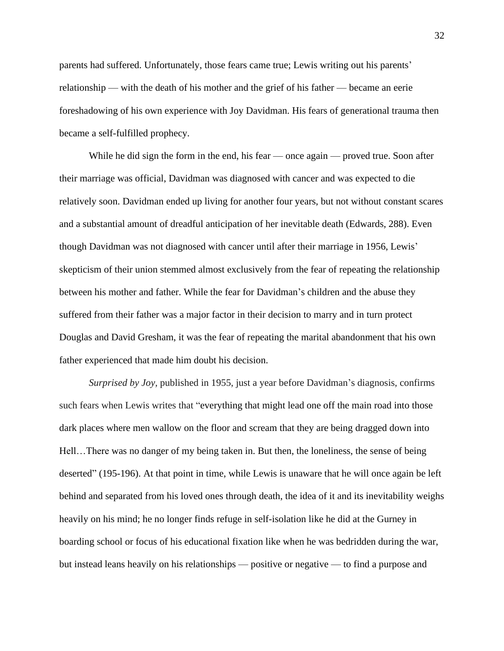parents had suffered. Unfortunately, those fears came true; Lewis writing out his parents' relationship — with the death of his mother and the grief of his father — became an eerie foreshadowing of his own experience with Joy Davidman. His fears of generational trauma then became a self-fulfilled prophecy.

While he did sign the form in the end, his fear — once again — proved true. Soon after their marriage was official, Davidman was diagnosed with cancer and was expected to die relatively soon. Davidman ended up living for another four years, but not without constant scares and a substantial amount of dreadful anticipation of her inevitable death (Edwards, 288). Even though Davidman was not diagnosed with cancer until after their marriage in 1956, Lewis' skepticism of their union stemmed almost exclusively from the fear of repeating the relationship between his mother and father. While the fear for Davidman's children and the abuse they suffered from their father was a major factor in their decision to marry and in turn protect Douglas and David Gresham, it was the fear of repeating the marital abandonment that his own father experienced that made him doubt his decision.

*Surprised by Joy,* published in 1955, just a year before Davidman's diagnosis, confirms such fears when Lewis writes that "everything that might lead one off the main road into those dark places where men wallow on the floor and scream that they are being dragged down into Hell…There was no danger of my being taken in. But then, the loneliness, the sense of being deserted" (195-196). At that point in time, while Lewis is unaware that he will once again be left behind and separated from his loved ones through death, the idea of it and its inevitability weighs heavily on his mind; he no longer finds refuge in self-isolation like he did at the Gurney in boarding school or focus of his educational fixation like when he was bedridden during the war, but instead leans heavily on his relationships — positive or negative — to find a purpose and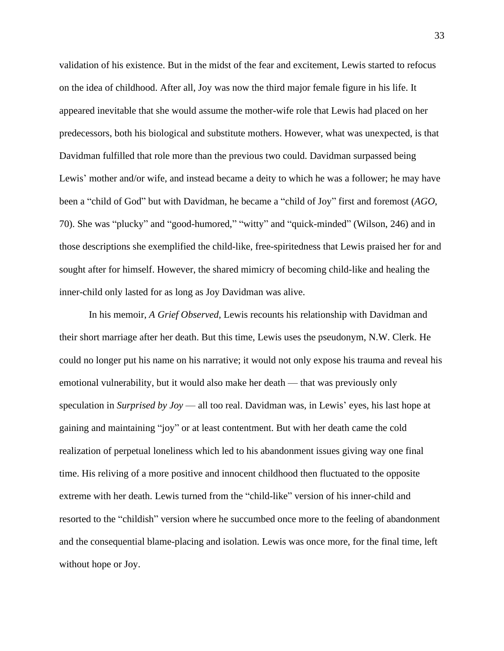validation of his existence. But in the midst of the fear and excitement, Lewis started to refocus on the idea of childhood. After all, Joy was now the third major female figure in his life. It appeared inevitable that she would assume the mother-wife role that Lewis had placed on her predecessors, both his biological and substitute mothers. However, what was unexpected, is that Davidman fulfilled that role more than the previous two could. Davidman surpassed being Lewis' mother and/or wife, and instead became a deity to which he was a follower; he may have been a "child of God" but with Davidman, he became a "child of Joy" first and foremost (*AGO*, 70). She was "plucky" and "good-humored," "witty" and "quick-minded" (Wilson, 246) and in those descriptions she exemplified the child-like, free-spiritedness that Lewis praised her for and sought after for himself. However, the shared mimicry of becoming child-like and healing the inner-child only lasted for as long as Joy Davidman was alive.

In his memoir, *A Grief Observed,* Lewis recounts his relationship with Davidman and their short marriage after her death. But this time, Lewis uses the pseudonym, N.W. Clerk. He could no longer put his name on his narrative; it would not only expose his trauma and reveal his emotional vulnerability, but it would also make her death — that was previously only speculation in *Surprised by Joy* — all too real. Davidman was, in Lewis' eyes, his last hope at gaining and maintaining "joy" or at least contentment. But with her death came the cold realization of perpetual loneliness which led to his abandonment issues giving way one final time. His reliving of a more positive and innocent childhood then fluctuated to the opposite extreme with her death. Lewis turned from the "child-like" version of his inner-child and resorted to the "childish" version where he succumbed once more to the feeling of abandonment and the consequential blame-placing and isolation. Lewis was once more, for the final time, left without hope or Joy.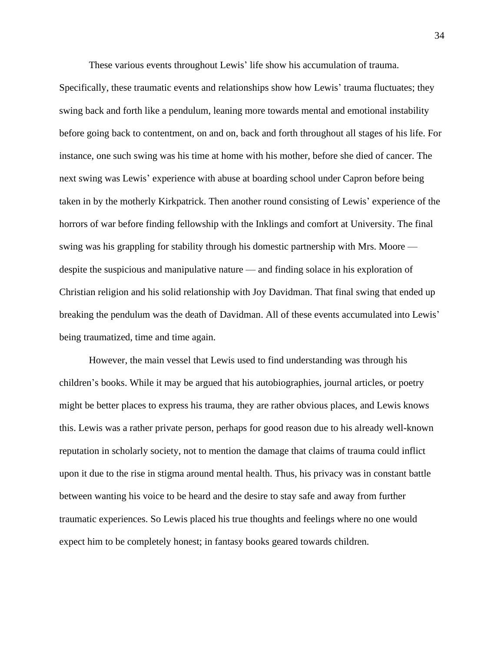These various events throughout Lewis' life show his accumulation of trauma.

Specifically, these traumatic events and relationships show how Lewis' trauma fluctuates; they swing back and forth like a pendulum, leaning more towards mental and emotional instability before going back to contentment, on and on, back and forth throughout all stages of his life. For instance, one such swing was his time at home with his mother, before she died of cancer. The next swing was Lewis' experience with abuse at boarding school under Capron before being taken in by the motherly Kirkpatrick. Then another round consisting of Lewis' experience of the horrors of war before finding fellowship with the Inklings and comfort at University. The final swing was his grappling for stability through his domestic partnership with Mrs. Moore despite the suspicious and manipulative nature — and finding solace in his exploration of Christian religion and his solid relationship with Joy Davidman. That final swing that ended up breaking the pendulum was the death of Davidman. All of these events accumulated into Lewis' being traumatized, time and time again.

However, the main vessel that Lewis used to find understanding was through his children's books. While it may be argued that his autobiographies, journal articles, or poetry might be better places to express his trauma, they are rather obvious places, and Lewis knows this. Lewis was a rather private person, perhaps for good reason due to his already well-known reputation in scholarly society, not to mention the damage that claims of trauma could inflict upon it due to the rise in stigma around mental health. Thus, his privacy was in constant battle between wanting his voice to be heard and the desire to stay safe and away from further traumatic experiences. So Lewis placed his true thoughts and feelings where no one would expect him to be completely honest; in fantasy books geared towards children.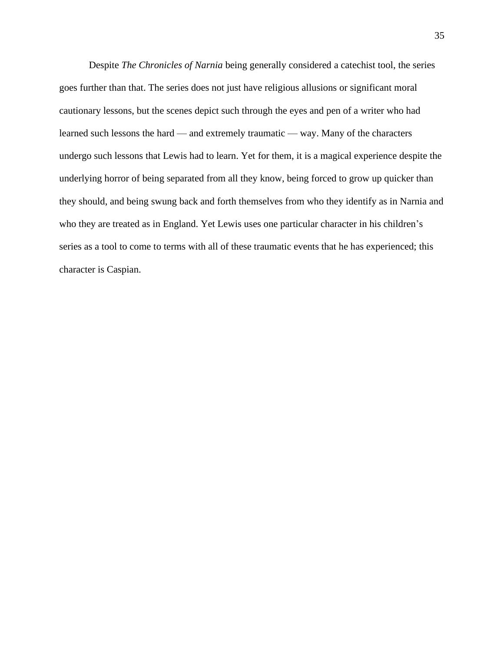Despite *The Chronicles of Narnia* being generally considered a catechist tool, the series goes further than that. The series does not just have religious allusions or significant moral cautionary lessons, but the scenes depict such through the eyes and pen of a writer who had learned such lessons the hard — and extremely traumatic — way. Many of the characters undergo such lessons that Lewis had to learn. Yet for them, it is a magical experience despite the underlying horror of being separated from all they know, being forced to grow up quicker than they should, and being swung back and forth themselves from who they identify as in Narnia and who they are treated as in England. Yet Lewis uses one particular character in his children's series as a tool to come to terms with all of these traumatic events that he has experienced; this character is Caspian.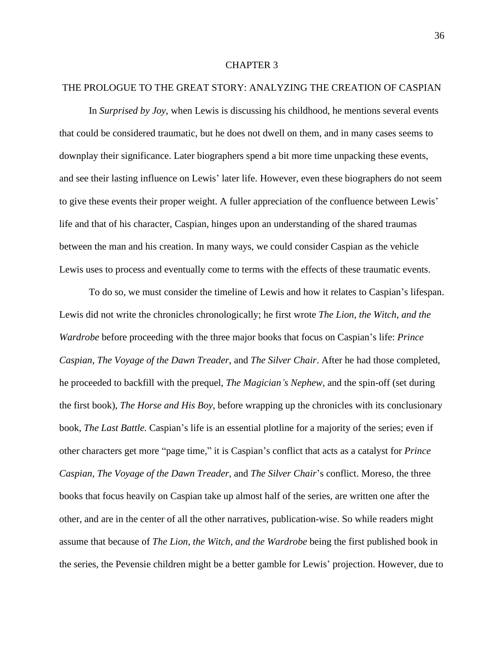## CHAPTER 3

# THE PROLOGUE TO THE GREAT STORY: ANALYZING THE CREATION OF CASPIAN

In *Surprised by Joy*, when Lewis is discussing his childhood, he mentions several events that could be considered traumatic, but he does not dwell on them, and in many cases seems to downplay their significance. Later biographers spend a bit more time unpacking these events, and see their lasting influence on Lewis' later life. However, even these biographers do not seem to give these events their proper weight. A fuller appreciation of the confluence between Lewis' life and that of his character, Caspian, hinges upon an understanding of the shared traumas between the man and his creation. In many ways, we could consider Caspian as the vehicle Lewis uses to process and eventually come to terms with the effects of these traumatic events.

To do so, we must consider the timeline of Lewis and how it relates to Caspian's lifespan. Lewis did not write the chronicles chronologically; he first wrote *The Lion, the Witch, and the Wardrobe* before proceeding with the three major books that focus on Caspian's life: *Prince Caspian*, *The Voyage of the Dawn Treader*, and *The Silver Chair*. After he had those completed, he proceeded to backfill with the prequel, *The Magician's Nephew*, and the spin-off (set during the first book), *The Horse and His Boy*, before wrapping up the chronicles with its conclusionary book, *The Last Battle.* Caspian's life is an essential plotline for a majority of the series; even if other characters get more "page time," it is Caspian's conflict that acts as a catalyst for *Prince Caspian, The Voyage of the Dawn Treader,* and *The Silver Chair*'s conflict. Moreso, the three books that focus heavily on Caspian take up almost half of the series, are written one after the other, and are in the center of all the other narratives, publication-wise. So while readers might assume that because of *The Lion, the Witch, and the Wardrobe* being the first published book in the series, the Pevensie children might be a better gamble for Lewis' projection. However, due to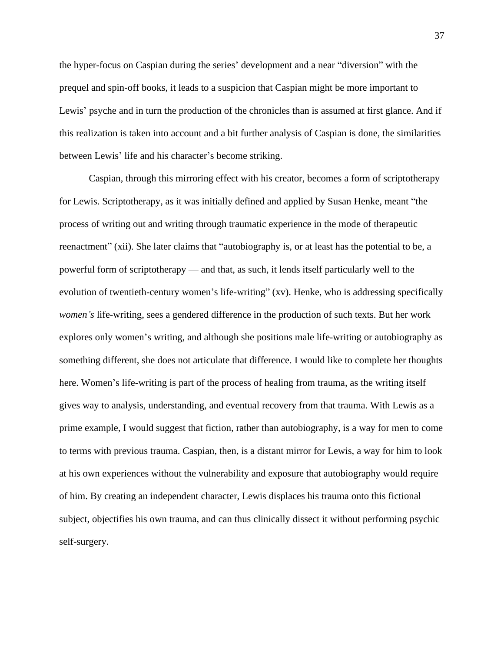the hyper-focus on Caspian during the series' development and a near "diversion" with the prequel and spin-off books, it leads to a suspicion that Caspian might be more important to Lewis' psyche and in turn the production of the chronicles than is assumed at first glance. And if this realization is taken into account and a bit further analysis of Caspian is done, the similarities between Lewis' life and his character's become striking.

Caspian, through this mirroring effect with his creator, becomes a form of scriptotherapy for Lewis. Scriptotherapy, as it was initially defined and applied by Susan Henke, meant "the process of writing out and writing through traumatic experience in the mode of therapeutic reenactment" (xii). She later claims that "autobiography is, or at least has the potential to be, a powerful form of scriptotherapy — and that, as such, it lends itself particularly well to the evolution of twentieth-century women's life-writing" (xv). Henke, who is addressing specifically *women's* life-writing, sees a gendered difference in the production of such texts. But her work explores only women's writing, and although she positions male life-writing or autobiography as something different, she does not articulate that difference. I would like to complete her thoughts here. Women's life-writing is part of the process of healing from trauma, as the writing itself gives way to analysis, understanding, and eventual recovery from that trauma. With Lewis as a prime example, I would suggest that fiction, rather than autobiography, is a way for men to come to terms with previous trauma. Caspian, then, is a distant mirror for Lewis, a way for him to look at his own experiences without the vulnerability and exposure that autobiography would require of him. By creating an independent character, Lewis displaces his trauma onto this fictional subject, objectifies his own trauma, and can thus clinically dissect it without performing psychic self-surgery.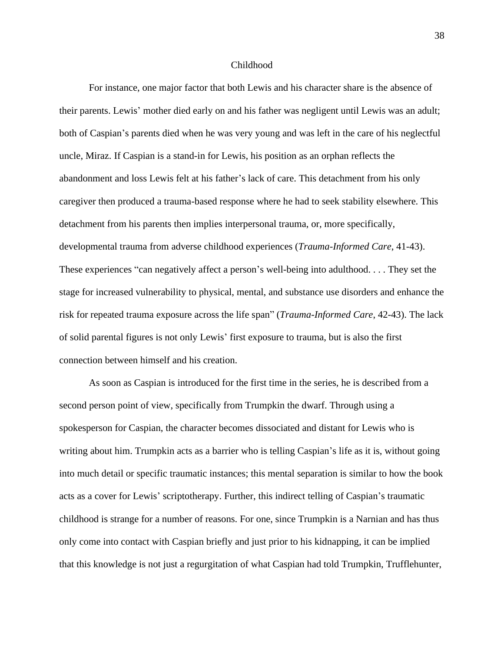#### Childhood

For instance, one major factor that both Lewis and his character share is the absence of their parents. Lewis' mother died early on and his father was negligent until Lewis was an adult; both of Caspian's parents died when he was very young and was left in the care of his neglectful uncle, Miraz. If Caspian is a stand-in for Lewis, his position as an orphan reflects the abandonment and loss Lewis felt at his father's lack of care. This detachment from his only caregiver then produced a trauma-based response where he had to seek stability elsewhere. This detachment from his parents then implies interpersonal trauma, or, more specifically, developmental trauma from adverse childhood experiences (*Trauma-Informed Care*, 41-43). These experiences "can negatively affect a person's well-being into adulthood. . . . They set the stage for increased vulnerability to physical, mental, and substance use disorders and enhance the risk for repeated trauma exposure across the life span" (*Trauma-Informed Care*, 42-43). The lack of solid parental figures is not only Lewis' first exposure to trauma, but is also the first connection between himself and his creation.

As soon as Caspian is introduced for the first time in the series, he is described from a second person point of view, specifically from Trumpkin the dwarf. Through using a spokesperson for Caspian, the character becomes dissociated and distant for Lewis who is writing about him. Trumpkin acts as a barrier who is telling Caspian's life as it is, without going into much detail or specific traumatic instances; this mental separation is similar to how the book acts as a cover for Lewis' scriptotherapy. Further, this indirect telling of Caspian's traumatic childhood is strange for a number of reasons. For one, since Trumpkin is a Narnian and has thus only come into contact with Caspian briefly and just prior to his kidnapping, it can be implied that this knowledge is not just a regurgitation of what Caspian had told Trumpkin, Trufflehunter,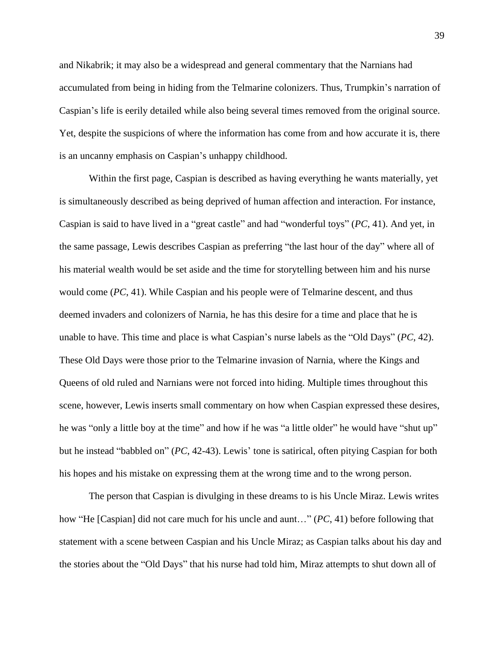and Nikabrik; it may also be a widespread and general commentary that the Narnians had accumulated from being in hiding from the Telmarine colonizers. Thus, Trumpkin's narration of Caspian's life is eerily detailed while also being several times removed from the original source. Yet, despite the suspicions of where the information has come from and how accurate it is, there is an uncanny emphasis on Caspian's unhappy childhood.

Within the first page, Caspian is described as having everything he wants materially, yet is simultaneously described as being deprived of human affection and interaction. For instance, Caspian is said to have lived in a "great castle" and had "wonderful toys" (*PC*, 41). And yet, in the same passage, Lewis describes Caspian as preferring "the last hour of the day" where all of his material wealth would be set aside and the time for storytelling between him and his nurse would come (*PC*, 41). While Caspian and his people were of Telmarine descent, and thus deemed invaders and colonizers of Narnia, he has this desire for a time and place that he is unable to have. This time and place is what Caspian's nurse labels as the "Old Days" (*PC*, 42). These Old Days were those prior to the Telmarine invasion of Narnia, where the Kings and Queens of old ruled and Narnians were not forced into hiding. Multiple times throughout this scene, however, Lewis inserts small commentary on how when Caspian expressed these desires, he was "only a little boy at the time" and how if he was "a little older" he would have "shut up" but he instead "babbled on" (*PC*, 42-43). Lewis' tone is satirical, often pitying Caspian for both his hopes and his mistake on expressing them at the wrong time and to the wrong person.

The person that Caspian is divulging in these dreams to is his Uncle Miraz. Lewis writes how "He [Caspian] did not care much for his uncle and aunt…" (*PC*, 41) before following that statement with a scene between Caspian and his Uncle Miraz; as Caspian talks about his day and the stories about the "Old Days" that his nurse had told him, Miraz attempts to shut down all of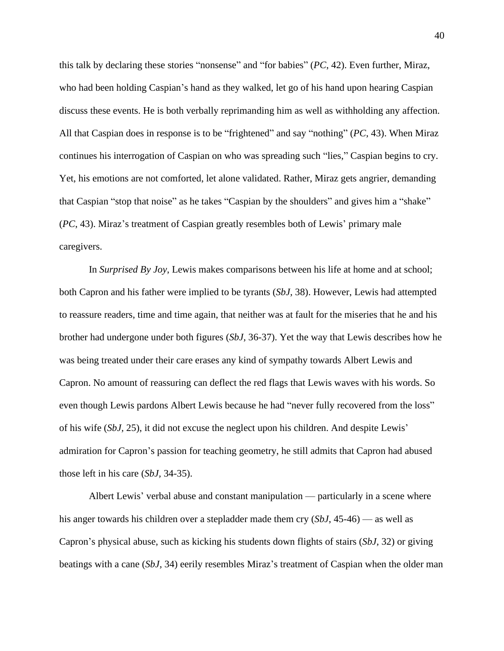this talk by declaring these stories "nonsense" and "for babies" (*PC*, 42). Even further, Miraz, who had been holding Caspian's hand as they walked, let go of his hand upon hearing Caspian discuss these events. He is both verbally reprimanding him as well as withholding any affection. All that Caspian does in response is to be "frightened" and say "nothing" (*PC*, 43). When Miraz continues his interrogation of Caspian on who was spreading such "lies," Caspian begins to cry. Yet, his emotions are not comforted, let alone validated. Rather, Miraz gets angrier, demanding that Caspian "stop that noise" as he takes "Caspian by the shoulders" and gives him a "shake" (*PC*, 43). Miraz's treatment of Caspian greatly resembles both of Lewis' primary male caregivers.

In *Surprised By Joy*, Lewis makes comparisons between his life at home and at school; both Capron and his father were implied to be tyrants (*SbJ,* 38). However, Lewis had attempted to reassure readers, time and time again, that neither was at fault for the miseries that he and his brother had undergone under both figures (*SbJ,* 36-37). Yet the way that Lewis describes how he was being treated under their care erases any kind of sympathy towards Albert Lewis and Capron. No amount of reassuring can deflect the red flags that Lewis waves with his words. So even though Lewis pardons Albert Lewis because he had "never fully recovered from the loss" of his wife (*SbJ,* 25), it did not excuse the neglect upon his children. And despite Lewis' admiration for Capron's passion for teaching geometry, he still admits that Capron had abused those left in his care (*SbJ,* 34-35).

Albert Lewis' verbal abuse and constant manipulation — particularly in a scene where his anger towards his children over a stepladder made them cry (*SbJ*, 45-46) — as well as Capron's physical abuse, such as kicking his students down flights of stairs (*SbJ,* 32) or giving beatings with a cane (*SbJ,* 34) eerily resembles Miraz's treatment of Caspian when the older man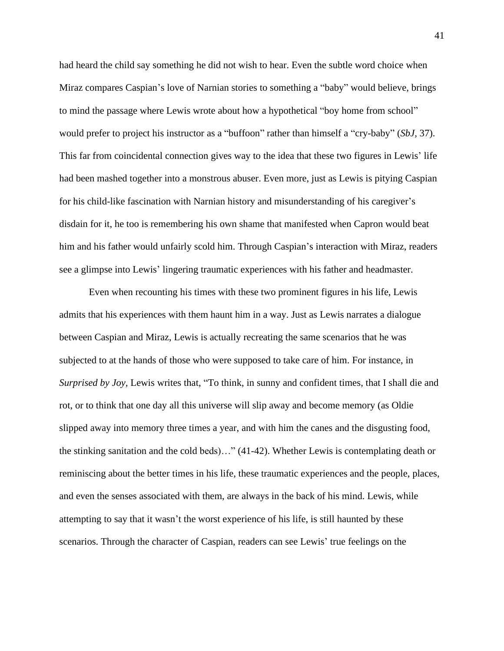had heard the child say something he did not wish to hear. Even the subtle word choice when Miraz compares Caspian's love of Narnian stories to something a "baby" would believe, brings to mind the passage where Lewis wrote about how a hypothetical "boy home from school" would prefer to project his instructor as a "buffoon" rather than himself a "cry-baby" (*SbJ,* 37). This far from coincidental connection gives way to the idea that these two figures in Lewis' life had been mashed together into a monstrous abuser. Even more, just as Lewis is pitying Caspian for his child-like fascination with Narnian history and misunderstanding of his caregiver's disdain for it, he too is remembering his own shame that manifested when Capron would beat him and his father would unfairly scold him. Through Caspian's interaction with Miraz, readers see a glimpse into Lewis' lingering traumatic experiences with his father and headmaster.

Even when recounting his times with these two prominent figures in his life, Lewis admits that his experiences with them haunt him in a way. Just as Lewis narrates a dialogue between Caspian and Miraz, Lewis is actually recreating the same scenarios that he was subjected to at the hands of those who were supposed to take care of him. For instance, in *Surprised by Joy,* Lewis writes that, "To think, in sunny and confident times, that I shall die and rot, or to think that one day all this universe will slip away and become memory (as Oldie slipped away into memory three times a year, and with him the canes and the disgusting food, the stinking sanitation and the cold beds)…" (41-42). Whether Lewis is contemplating death or reminiscing about the better times in his life, these traumatic experiences and the people, places, and even the senses associated with them, are always in the back of his mind. Lewis, while attempting to say that it wasn't the worst experience of his life, is still haunted by these scenarios. Through the character of Caspian, readers can see Lewis' true feelings on the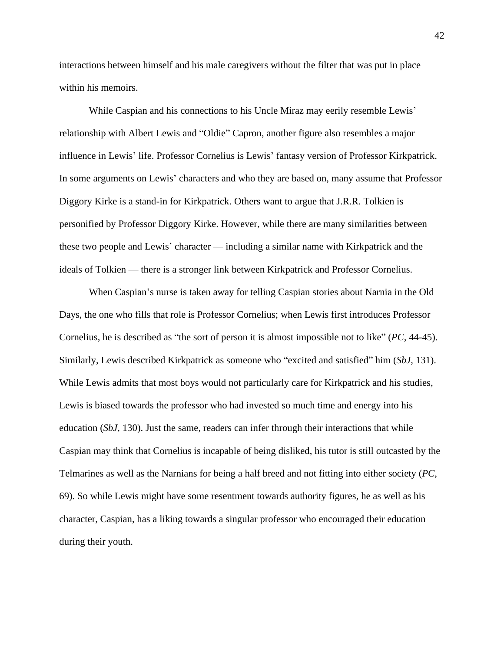interactions between himself and his male caregivers without the filter that was put in place within his memoirs.

While Caspian and his connections to his Uncle Miraz may eerily resemble Lewis' relationship with Albert Lewis and "Oldie" Capron, another figure also resembles a major influence in Lewis' life. Professor Cornelius is Lewis' fantasy version of Professor Kirkpatrick. In some arguments on Lewis' characters and who they are based on, many assume that Professor Diggory Kirke is a stand-in for Kirkpatrick. Others want to argue that J.R.R. Tolkien is personified by Professor Diggory Kirke. However, while there are many similarities between these two people and Lewis' character — including a similar name with Kirkpatrick and the ideals of Tolkien — there is a stronger link between Kirkpatrick and Professor Cornelius.

When Caspian's nurse is taken away for telling Caspian stories about Narnia in the Old Days, the one who fills that role is Professor Cornelius; when Lewis first introduces Professor Cornelius, he is described as "the sort of person it is almost impossible not to like" (*PC,* 44-45). Similarly, Lewis described Kirkpatrick as someone who "excited and satisfied" him (*SbJ*, 131). While Lewis admits that most boys would not particularly care for Kirkpatrick and his studies, Lewis is biased towards the professor who had invested so much time and energy into his education (*SbJ*, 130). Just the same, readers can infer through their interactions that while Caspian may think that Cornelius is incapable of being disliked, his tutor is still outcasted by the Telmarines as well as the Narnians for being a half breed and not fitting into either society (*PC*, 69). So while Lewis might have some resentment towards authority figures, he as well as his character, Caspian, has a liking towards a singular professor who encouraged their education during their youth.

42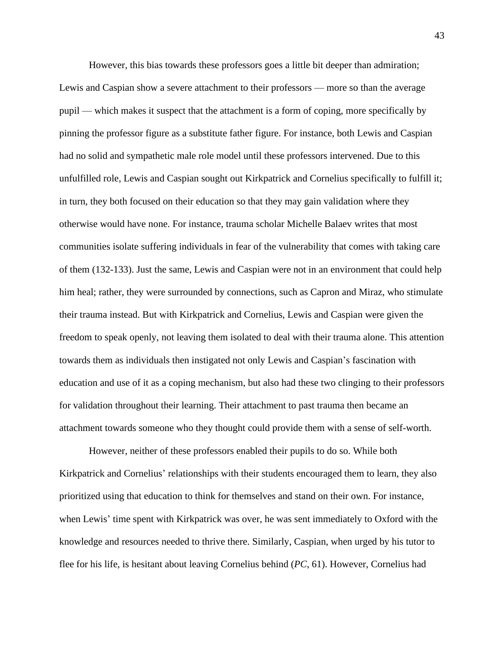However, this bias towards these professors goes a little bit deeper than admiration; Lewis and Caspian show a severe attachment to their professors — more so than the average pupil — which makes it suspect that the attachment is a form of coping, more specifically by pinning the professor figure as a substitute father figure. For instance, both Lewis and Caspian had no solid and sympathetic male role model until these professors intervened. Due to this unfulfilled role, Lewis and Caspian sought out Kirkpatrick and Cornelius specifically to fulfill it; in turn, they both focused on their education so that they may gain validation where they otherwise would have none. For instance, trauma scholar Michelle Balaev writes that most communities isolate suffering individuals in fear of the vulnerability that comes with taking care of them (132-133). Just the same, Lewis and Caspian were not in an environment that could help him heal; rather, they were surrounded by connections, such as Capron and Miraz, who stimulate their trauma instead. But with Kirkpatrick and Cornelius, Lewis and Caspian were given the freedom to speak openly, not leaving them isolated to deal with their trauma alone. This attention towards them as individuals then instigated not only Lewis and Caspian's fascination with education and use of it as a coping mechanism, but also had these two clinging to their professors for validation throughout their learning. Their attachment to past trauma then became an attachment towards someone who they thought could provide them with a sense of self-worth.

However, neither of these professors enabled their pupils to do so. While both Kirkpatrick and Cornelius' relationships with their students encouraged them to learn, they also prioritized using that education to think for themselves and stand on their own. For instance, when Lewis' time spent with Kirkpatrick was over, he was sent immediately to Oxford with the knowledge and resources needed to thrive there. Similarly, Caspian, when urged by his tutor to flee for his life, is hesitant about leaving Cornelius behind (*PC*, 61). However, Cornelius had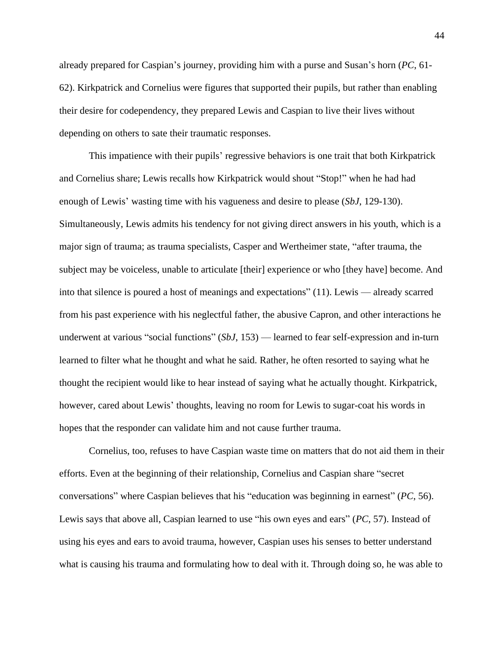already prepared for Caspian's journey, providing him with a purse and Susan's horn (*PC*, 61- 62). Kirkpatrick and Cornelius were figures that supported their pupils, but rather than enabling their desire for codependency, they prepared Lewis and Caspian to live their lives without depending on others to sate their traumatic responses.

This impatience with their pupils' regressive behaviors is one trait that both Kirkpatrick and Cornelius share; Lewis recalls how Kirkpatrick would shout "Stop!" when he had had enough of Lewis' wasting time with his vagueness and desire to please (*SbJ*, 129-130). Simultaneously, Lewis admits his tendency for not giving direct answers in his youth, which is a major sign of trauma; as trauma specialists, Casper and Wertheimer state, "after trauma, the subject may be voiceless, unable to articulate [their] experience or who [they have] become. And into that silence is poured a host of meanings and expectations" (11). Lewis — already scarred from his past experience with his neglectful father, the abusive Capron, and other interactions he underwent at various "social functions" (*SbJ*, 153) — learned to fear self-expression and in-turn learned to filter what he thought and what he said. Rather, he often resorted to saying what he thought the recipient would like to hear instead of saying what he actually thought. Kirkpatrick, however, cared about Lewis' thoughts, leaving no room for Lewis to sugar-coat his words in hopes that the responder can validate him and not cause further trauma.

Cornelius, too, refuses to have Caspian waste time on matters that do not aid them in their efforts. Even at the beginning of their relationship, Cornelius and Caspian share "secret conversations" where Caspian believes that his "education was beginning in earnest" (*PC*, 56). Lewis says that above all, Caspian learned to use "his own eyes and ears" (*PC*, 57). Instead of using his eyes and ears to avoid trauma, however, Caspian uses his senses to better understand what is causing his trauma and formulating how to deal with it. Through doing so, he was able to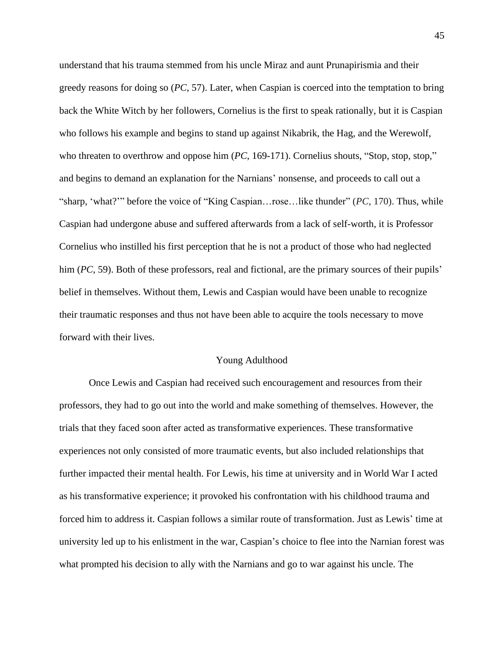understand that his trauma stemmed from his uncle Miraz and aunt Prunapirismia and their greedy reasons for doing so (*PC*, 57). Later, when Caspian is coerced into the temptation to bring back the White Witch by her followers, Cornelius is the first to speak rationally, but it is Caspian who follows his example and begins to stand up against Nikabrik, the Hag, and the Werewolf, who threaten to overthrow and oppose him (*PC*, 169-171). Cornelius shouts, "Stop, stop, stop," and begins to demand an explanation for the Narnians' nonsense, and proceeds to call out a "sharp, 'what?'" before the voice of "King Caspian…rose…like thunder" (*PC*, 170). Thus, while Caspian had undergone abuse and suffered afterwards from a lack of self-worth, it is Professor Cornelius who instilled his first perception that he is not a product of those who had neglected him (*PC*, 59). Both of these professors, real and fictional, are the primary sources of their pupils' belief in themselves. Without them, Lewis and Caspian would have been unable to recognize their traumatic responses and thus not have been able to acquire the tools necessary to move forward with their lives.

#### Young Adulthood

Once Lewis and Caspian had received such encouragement and resources from their professors, they had to go out into the world and make something of themselves. However, the trials that they faced soon after acted as transformative experiences. These transformative experiences not only consisted of more traumatic events, but also included relationships that further impacted their mental health. For Lewis, his time at university and in World War I acted as his transformative experience; it provoked his confrontation with his childhood trauma and forced him to address it. Caspian follows a similar route of transformation. Just as Lewis' time at university led up to his enlistment in the war, Caspian's choice to flee into the Narnian forest was what prompted his decision to ally with the Narnians and go to war against his uncle. The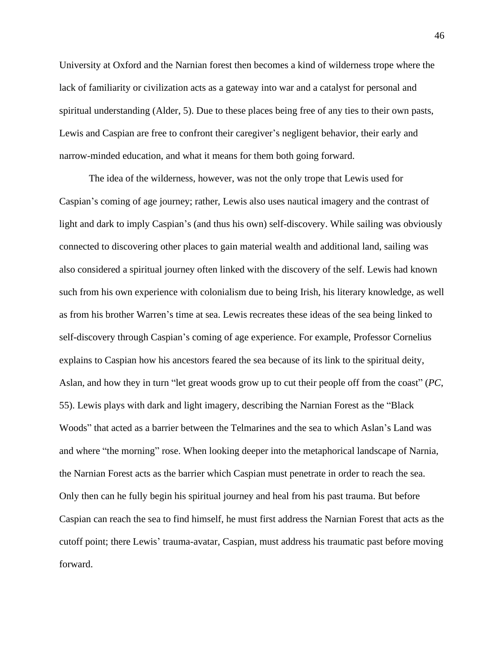University at Oxford and the Narnian forest then becomes a kind of wilderness trope where the lack of familiarity or civilization acts as a gateway into war and a catalyst for personal and spiritual understanding (Alder, 5). Due to these places being free of any ties to their own pasts, Lewis and Caspian are free to confront their caregiver's negligent behavior, their early and narrow-minded education, and what it means for them both going forward.

The idea of the wilderness, however, was not the only trope that Lewis used for Caspian's coming of age journey; rather, Lewis also uses nautical imagery and the contrast of light and dark to imply Caspian's (and thus his own) self-discovery. While sailing was obviously connected to discovering other places to gain material wealth and additional land, sailing was also considered a spiritual journey often linked with the discovery of the self. Lewis had known such from his own experience with colonialism due to being Irish, his literary knowledge, as well as from his brother Warren's time at sea. Lewis recreates these ideas of the sea being linked to self-discovery through Caspian's coming of age experience. For example, Professor Cornelius explains to Caspian how his ancestors feared the sea because of its link to the spiritual deity, Aslan, and how they in turn "let great woods grow up to cut their people off from the coast" (*PC*, 55). Lewis plays with dark and light imagery, describing the Narnian Forest as the "Black Woods" that acted as a barrier between the Telmarines and the sea to which Aslan's Land was and where "the morning" rose. When looking deeper into the metaphorical landscape of Narnia, the Narnian Forest acts as the barrier which Caspian must penetrate in order to reach the sea. Only then can he fully begin his spiritual journey and heal from his past trauma. But before Caspian can reach the sea to find himself, he must first address the Narnian Forest that acts as the cutoff point; there Lewis' trauma-avatar, Caspian, must address his traumatic past before moving forward.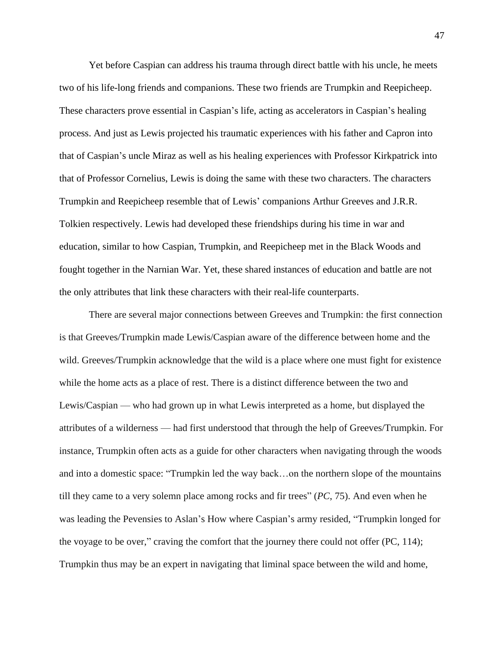Yet before Caspian can address his trauma through direct battle with his uncle, he meets two of his life-long friends and companions. These two friends are Trumpkin and Reepicheep. These characters prove essential in Caspian's life, acting as accelerators in Caspian's healing process. And just as Lewis projected his traumatic experiences with his father and Capron into that of Caspian's uncle Miraz as well as his healing experiences with Professor Kirkpatrick into that of Professor Cornelius, Lewis is doing the same with these two characters. The characters Trumpkin and Reepicheep resemble that of Lewis' companions Arthur Greeves and J.R.R. Tolkien respectively. Lewis had developed these friendships during his time in war and education, similar to how Caspian, Trumpkin, and Reepicheep met in the Black Woods and fought together in the Narnian War. Yet, these shared instances of education and battle are not the only attributes that link these characters with their real-life counterparts.

There are several major connections between Greeves and Trumpkin: the first connection is that Greeves/Trumpkin made Lewis/Caspian aware of the difference between home and the wild. Greeves/Trumpkin acknowledge that the wild is a place where one must fight for existence while the home acts as a place of rest. There is a distinct difference between the two and Lewis/Caspian — who had grown up in what Lewis interpreted as a home, but displayed the attributes of a wilderness — had first understood that through the help of Greeves/Trumpkin. For instance, Trumpkin often acts as a guide for other characters when navigating through the woods and into a domestic space: "Trumpkin led the way back…on the northern slope of the mountains till they came to a very solemn place among rocks and fir trees" (*PC*, 75). And even when he was leading the Pevensies to Aslan's How where Caspian's army resided, "Trumpkin longed for the voyage to be over," craving the comfort that the journey there could not offer (PC, 114); Trumpkin thus may be an expert in navigating that liminal space between the wild and home,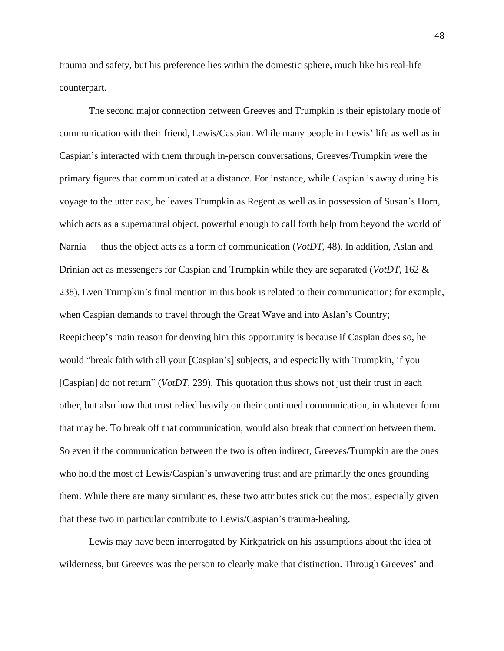trauma and safety, but his preference lies within the domestic sphere, much like his real-life counterpart.

The second major connection between Greeves and Trumpkin is their epistolary mode of communication with their friend, Lewis/Caspian. While many people in Lewis' life as well as in Caspian's interacted with them through in-person conversations, Greeves/Trumpkin were the primary figures that communicated at a distance. For instance, while Caspian is away during his voyage to the utter east, he leaves Trumpkin as Regent as well as in possession of Susan's Horn, which acts as a supernatural object, powerful enough to call forth help from beyond the world of Narnia — thus the object acts as a form of communication (*VotDT*, 48). In addition, Aslan and Drinian act as messengers for Caspian and Trumpkin while they are separated (*VotDT*, 162 & 238). Even Trumpkin's final mention in this book is related to their communication; for example, when Caspian demands to travel through the Great Wave and into Aslan's Country; Reepicheep's main reason for denying him this opportunity is because if Caspian does so, he would "break faith with all your [Caspian's] subjects, and especially with Trumpkin, if you [Caspian] do not return" (*VotDT*, 239). This quotation thus shows not just their trust in each other, but also how that trust relied heavily on their continued communication, in whatever form that may be. To break off that communication, would also break that connection between them. So even if the communication between the two is often indirect, Greeves/Trumpkin are the ones who hold the most of Lewis/Caspian's unwavering trust and are primarily the ones grounding them. While there are many similarities, these two attributes stick out the most, especially given that these two in particular contribute to Lewis/Caspian's trauma-healing.

Lewis may have been interrogated by Kirkpatrick on his assumptions about the idea of wilderness, but Greeves was the person to clearly make that distinction. Through Greeves' and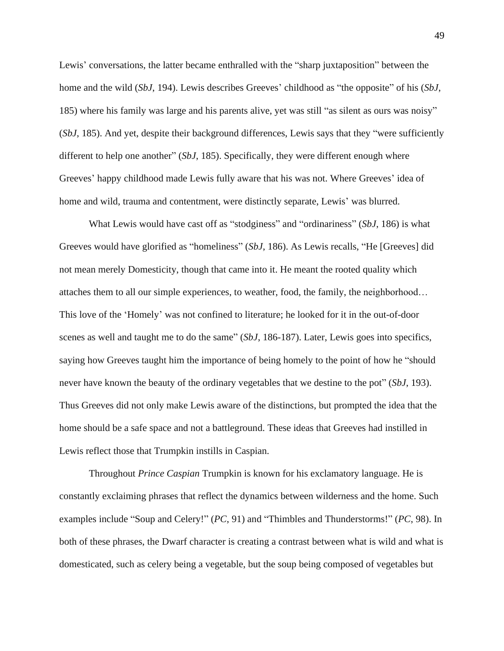Lewis' conversations, the latter became enthralled with the "sharp juxtaposition" between the home and the wild (*SbJ*, 194). Lewis describes Greeves' childhood as "the opposite" of his (*SbJ*, 185) where his family was large and his parents alive, yet was still "as silent as ours was noisy" (*SbJ*, 185). And yet, despite their background differences, Lewis says that they "were sufficiently different to help one another" (*SbJ*, 185). Specifically, they were different enough where Greeves' happy childhood made Lewis fully aware that his was not. Where Greeves' idea of home and wild, trauma and contentment, were distinctly separate, Lewis' was blurred.

What Lewis would have cast off as "stodginess" and "ordinariness" (*SbJ*, 186) is what Greeves would have glorified as "homeliness" (*SbJ*, 186). As Lewis recalls, "He [Greeves] did not mean merely Domesticity, though that came into it. He meant the rooted quality which attaches them to all our simple experiences, to weather, food, the family, the neighborhood… This love of the 'Homely' was not confined to literature; he looked for it in the out-of-door scenes as well and taught me to do the same" (*SbJ*, 186-187). Later, Lewis goes into specifics, saying how Greeves taught him the importance of being homely to the point of how he "should never have known the beauty of the ordinary vegetables that we destine to the pot" (*SbJ*, 193). Thus Greeves did not only make Lewis aware of the distinctions, but prompted the idea that the home should be a safe space and not a battleground. These ideas that Greeves had instilled in Lewis reflect those that Trumpkin instills in Caspian.

Throughout *Prince Caspian* Trumpkin is known for his exclamatory language. He is constantly exclaiming phrases that reflect the dynamics between wilderness and the home. Such examples include "Soup and Celery!" (*PC*, 91) and "Thimbles and Thunderstorms!" (*PC*, 98). In both of these phrases, the Dwarf character is creating a contrast between what is wild and what is domesticated, such as celery being a vegetable, but the soup being composed of vegetables but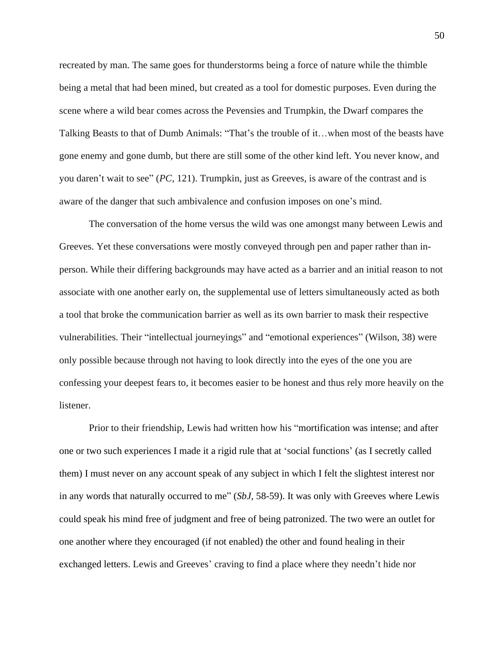recreated by man. The same goes for thunderstorms being a force of nature while the thimble being a metal that had been mined, but created as a tool for domestic purposes. Even during the scene where a wild bear comes across the Pevensies and Trumpkin, the Dwarf compares the Talking Beasts to that of Dumb Animals: "That's the trouble of it…when most of the beasts have gone enemy and gone dumb, but there are still some of the other kind left. You never know, and you daren't wait to see" (*PC*, 121). Trumpkin, just as Greeves, is aware of the contrast and is aware of the danger that such ambivalence and confusion imposes on one's mind.

The conversation of the home versus the wild was one amongst many between Lewis and Greeves. Yet these conversations were mostly conveyed through pen and paper rather than inperson. While their differing backgrounds may have acted as a barrier and an initial reason to not associate with one another early on, the supplemental use of letters simultaneously acted as both a tool that broke the communication barrier as well as its own barrier to mask their respective vulnerabilities. Their "intellectual journeyings" and "emotional experiences" (Wilson, 38) were only possible because through not having to look directly into the eyes of the one you are confessing your deepest fears to, it becomes easier to be honest and thus rely more heavily on the listener.

Prior to their friendship, Lewis had written how his "mortification was intense; and after one or two such experiences I made it a rigid rule that at 'social functions' (as I secretly called them) I must never on any account speak of any subject in which I felt the slightest interest nor in any words that naturally occurred to me" (*SbJ*, 58-59). It was only with Greeves where Lewis could speak his mind free of judgment and free of being patronized. The two were an outlet for one another where they encouraged (if not enabled) the other and found healing in their exchanged letters. Lewis and Greeves' craving to find a place where they needn't hide nor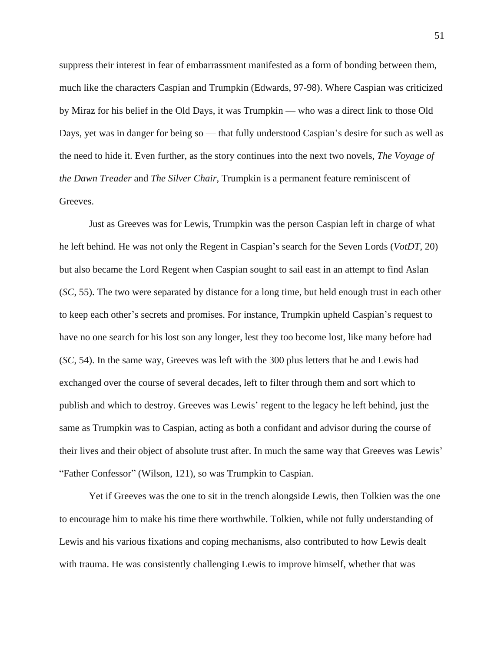suppress their interest in fear of embarrassment manifested as a form of bonding between them, much like the characters Caspian and Trumpkin (Edwards, 97-98). Where Caspian was criticized by Miraz for his belief in the Old Days, it was Trumpkin — who was a direct link to those Old Days, yet was in danger for being so — that fully understood Caspian's desire for such as well as the need to hide it. Even further, as the story continues into the next two novels, *The Voyage of the Dawn Treader* and *The Silver Chair*, Trumpkin is a permanent feature reminiscent of Greeves.

Just as Greeves was for Lewis, Trumpkin was the person Caspian left in charge of what he left behind. He was not only the Regent in Caspian's search for the Seven Lords (*VotDT*, 20) but also became the Lord Regent when Caspian sought to sail east in an attempt to find Aslan (*SC*, 55). The two were separated by distance for a long time, but held enough trust in each other to keep each other's secrets and promises. For instance, Trumpkin upheld Caspian's request to have no one search for his lost son any longer, lest they too become lost, like many before had (*SC*, 54). In the same way, Greeves was left with the 300 plus letters that he and Lewis had exchanged over the course of several decades, left to filter through them and sort which to publish and which to destroy. Greeves was Lewis' regent to the legacy he left behind, just the same as Trumpkin was to Caspian, acting as both a confidant and advisor during the course of their lives and their object of absolute trust after. In much the same way that Greeves was Lewis' "Father Confessor" (Wilson, 121), so was Trumpkin to Caspian.

Yet if Greeves was the one to sit in the trench alongside Lewis, then Tolkien was the one to encourage him to make his time there worthwhile. Tolkien, while not fully understanding of Lewis and his various fixations and coping mechanisms, also contributed to how Lewis dealt with trauma. He was consistently challenging Lewis to improve himself, whether that was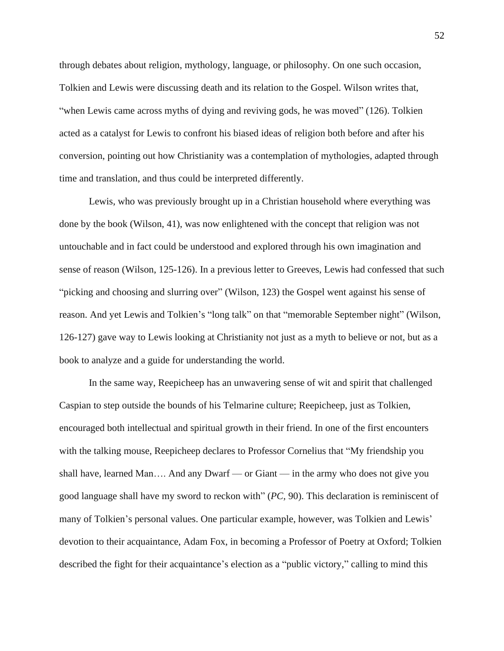through debates about religion, mythology, language, or philosophy. On one such occasion, Tolkien and Lewis were discussing death and its relation to the Gospel. Wilson writes that, "when Lewis came across myths of dying and reviving gods, he was moved" (126). Tolkien acted as a catalyst for Lewis to confront his biased ideas of religion both before and after his conversion, pointing out how Christianity was a contemplation of mythologies, adapted through time and translation, and thus could be interpreted differently.

Lewis, who was previously brought up in a Christian household where everything was done by the book (Wilson, 41), was now enlightened with the concept that religion was not untouchable and in fact could be understood and explored through his own imagination and sense of reason (Wilson, 125-126). In a previous letter to Greeves, Lewis had confessed that such "picking and choosing and slurring over" (Wilson, 123) the Gospel went against his sense of reason. And yet Lewis and Tolkien's "long talk" on that "memorable September night" (Wilson, 126-127) gave way to Lewis looking at Christianity not just as a myth to believe or not, but as a book to analyze and a guide for understanding the world.

In the same way, Reepicheep has an unwavering sense of wit and spirit that challenged Caspian to step outside the bounds of his Telmarine culture; Reepicheep, just as Tolkien, encouraged both intellectual and spiritual growth in their friend. In one of the first encounters with the talking mouse, Reepicheep declares to Professor Cornelius that "My friendship you shall have, learned Man…. And any Dwarf — or Giant — in the army who does not give you good language shall have my sword to reckon with" (*PC,* 90). This declaration is reminiscent of many of Tolkien's personal values. One particular example, however, was Tolkien and Lewis' devotion to their acquaintance, Adam Fox, in becoming a Professor of Poetry at Oxford; Tolkien described the fight for their acquaintance's election as a "public victory," calling to mind this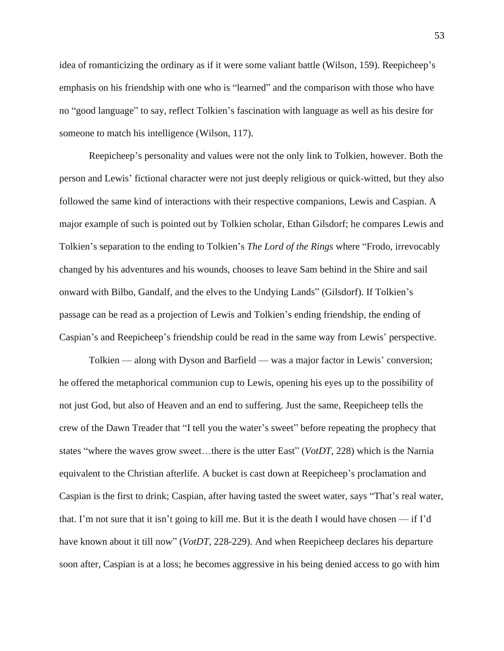idea of romanticizing the ordinary as if it were some valiant battle (Wilson, 159). Reepicheep's emphasis on his friendship with one who is "learned" and the comparison with those who have no "good language" to say, reflect Tolkien's fascination with language as well as his desire for someone to match his intelligence (Wilson, 117).

Reepicheep's personality and values were not the only link to Tolkien, however. Both the person and Lewis' fictional character were not just deeply religious or quick-witted, but they also followed the same kind of interactions with their respective companions, Lewis and Caspian. A major example of such is pointed out by Tolkien scholar, Ethan Gilsdorf; he compares Lewis and Tolkien's separation to the ending to Tolkien's *The Lord of the Rings* where "Frodo, irrevocably changed by his adventures and his wounds, chooses to leave Sam behind in the Shire and sail onward with Bilbo, Gandalf, and the elves to the Undying Lands" (Gilsdorf). If Tolkien's passage can be read as a projection of Lewis and Tolkien's ending friendship, the ending of Caspian's and Reepicheep's friendship could be read in the same way from Lewis' perspective.

Tolkien — along with Dyson and Barfield — was a major factor in Lewis' conversion; he offered the metaphorical communion cup to Lewis, opening his eyes up to the possibility of not just God, but also of Heaven and an end to suffering. Just the same, Reepicheep tells the crew of the Dawn Treader that "I tell you the water's sweet" before repeating the prophecy that states "where the waves grow sweet…there is the utter East" (*VotDT*, 228) which is the Narnia equivalent to the Christian afterlife. A bucket is cast down at Reepicheep's proclamation and Caspian is the first to drink; Caspian, after having tasted the sweet water, says "That's real water, that. I'm not sure that it isn't going to kill me. But it is the death I would have chosen — if I'd have known about it till now" (*VotDT*, 228-229). And when Reepicheep declares his departure soon after, Caspian is at a loss; he becomes aggressive in his being denied access to go with him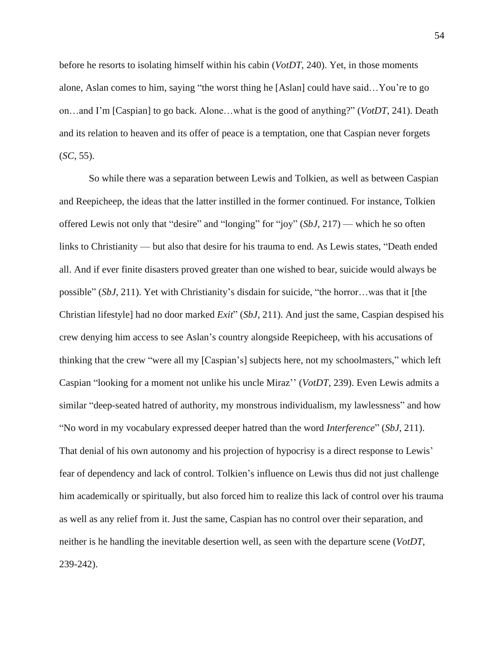before he resorts to isolating himself within his cabin (*VotDT*, 240). Yet, in those moments alone, Aslan comes to him, saying "the worst thing he [Aslan] could have said…You're to go on…and I'm [Caspian] to go back. Alone…what is the good of anything?" (*VotDT*, 241). Death and its relation to heaven and its offer of peace is a temptation, one that Caspian never forgets (*SC*, 55).

So while there was a separation between Lewis and Tolkien, as well as between Caspian and Reepicheep, the ideas that the latter instilled in the former continued. For instance, Tolkien offered Lewis not only that "desire" and "longing" for "joy" (*SbJ*, 217) — which he so often links to Christianity — but also that desire for his trauma to end. As Lewis states, "Death ended all. And if ever finite disasters proved greater than one wished to bear, suicide would always be possible" (*SbJ*, 211). Yet with Christianity's disdain for suicide, "the horror…was that it [the Christian lifestyle] had no door marked *Exit*" (*SbJ*, 211). And just the same, Caspian despised his crew denying him access to see Aslan's country alongside Reepicheep, with his accusations of thinking that the crew "were all my [Caspian's] subjects here, not my schoolmasters," which left Caspian "looking for a moment not unlike his uncle Miraz'' (*VotDT*, 239). Even Lewis admits a similar "deep-seated hatred of authority, my monstrous individualism, my lawlessness" and how "No word in my vocabulary expressed deeper hatred than the word *Interference*" (*SbJ*, 211). That denial of his own autonomy and his projection of hypocrisy is a direct response to Lewis' fear of dependency and lack of control. Tolkien's influence on Lewis thus did not just challenge him academically or spiritually, but also forced him to realize this lack of control over his trauma as well as any relief from it. Just the same, Caspian has no control over their separation, and neither is he handling the inevitable desertion well, as seen with the departure scene (*VotDT*, 239-242).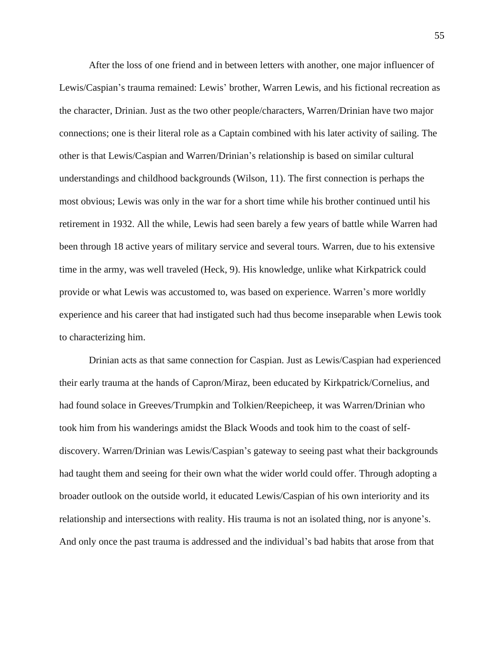After the loss of one friend and in between letters with another, one major influencer of Lewis/Caspian's trauma remained: Lewis' brother, Warren Lewis, and his fictional recreation as the character, Drinian. Just as the two other people/characters, Warren/Drinian have two major connections; one is their literal role as a Captain combined with his later activity of sailing. The other is that Lewis/Caspian and Warren/Drinian's relationship is based on similar cultural understandings and childhood backgrounds (Wilson, 11). The first connection is perhaps the most obvious; Lewis was only in the war for a short time while his brother continued until his retirement in 1932. All the while, Lewis had seen barely a few years of battle while Warren had been through 18 active years of military service and several tours. Warren, due to his extensive time in the army, was well traveled (Heck, 9). His knowledge, unlike what Kirkpatrick could provide or what Lewis was accustomed to, was based on experience. Warren's more worldly experience and his career that had instigated such had thus become inseparable when Lewis took to characterizing him.

Drinian acts as that same connection for Caspian. Just as Lewis/Caspian had experienced their early trauma at the hands of Capron/Miraz, been educated by Kirkpatrick/Cornelius, and had found solace in Greeves/Trumpkin and Tolkien/Reepicheep, it was Warren/Drinian who took him from his wanderings amidst the Black Woods and took him to the coast of selfdiscovery. Warren/Drinian was Lewis/Caspian's gateway to seeing past what their backgrounds had taught them and seeing for their own what the wider world could offer. Through adopting a broader outlook on the outside world, it educated Lewis/Caspian of his own interiority and its relationship and intersections with reality. His trauma is not an isolated thing, nor is anyone's. And only once the past trauma is addressed and the individual's bad habits that arose from that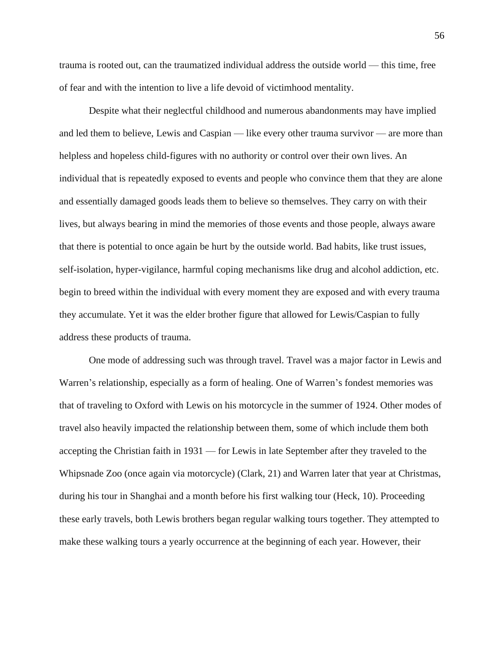trauma is rooted out, can the traumatized individual address the outside world — this time, free of fear and with the intention to live a life devoid of victimhood mentality.

Despite what their neglectful childhood and numerous abandonments may have implied and led them to believe, Lewis and Caspian — like every other trauma survivor — are more than helpless and hopeless child-figures with no authority or control over their own lives. An individual that is repeatedly exposed to events and people who convince them that they are alone and essentially damaged goods leads them to believe so themselves. They carry on with their lives, but always bearing in mind the memories of those events and those people, always aware that there is potential to once again be hurt by the outside world. Bad habits, like trust issues, self-isolation, hyper-vigilance, harmful coping mechanisms like drug and alcohol addiction, etc. begin to breed within the individual with every moment they are exposed and with every trauma they accumulate. Yet it was the elder brother figure that allowed for Lewis/Caspian to fully address these products of trauma.

One mode of addressing such was through travel. Travel was a major factor in Lewis and Warren's relationship, especially as a form of healing. One of Warren's fondest memories was that of traveling to Oxford with Lewis on his motorcycle in the summer of 1924. Other modes of travel also heavily impacted the relationship between them, some of which include them both accepting the Christian faith in 1931 — for Lewis in late September after they traveled to the Whipsnade Zoo (once again via motorcycle) (Clark, 21) and Warren later that year at Christmas, during his tour in Shanghai and a month before his first walking tour (Heck, 10). Proceeding these early travels, both Lewis brothers began regular walking tours together. They attempted to make these walking tours a yearly occurrence at the beginning of each year. However, their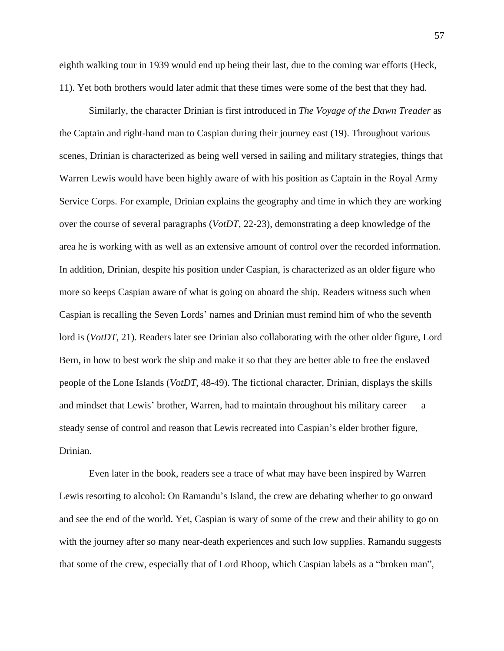eighth walking tour in 1939 would end up being their last, due to the coming war efforts (Heck, 11). Yet both brothers would later admit that these times were some of the best that they had.

Similarly, the character Drinian is first introduced in *The Voyage of the Dawn Treader* as the Captain and right-hand man to Caspian during their journey east (19). Throughout various scenes, Drinian is characterized as being well versed in sailing and military strategies, things that Warren Lewis would have been highly aware of with his position as Captain in the Royal Army Service Corps. For example, Drinian explains the geography and time in which they are working over the course of several paragraphs (*VotDT*, 22-23), demonstrating a deep knowledge of the area he is working with as well as an extensive amount of control over the recorded information. In addition, Drinian, despite his position under Caspian, is characterized as an older figure who more so keeps Caspian aware of what is going on aboard the ship. Readers witness such when Caspian is recalling the Seven Lords' names and Drinian must remind him of who the seventh lord is (*VotDT*, 21). Readers later see Drinian also collaborating with the other older figure, Lord Bern, in how to best work the ship and make it so that they are better able to free the enslaved people of the Lone Islands (*VotDT*, 48-49). The fictional character, Drinian, displays the skills and mindset that Lewis' brother, Warren, had to maintain throughout his military career — a steady sense of control and reason that Lewis recreated into Caspian's elder brother figure, Drinian.

Even later in the book, readers see a trace of what may have been inspired by Warren Lewis resorting to alcohol: On Ramandu's Island, the crew are debating whether to go onward and see the end of the world. Yet, Caspian is wary of some of the crew and their ability to go on with the journey after so many near-death experiences and such low supplies. Ramandu suggests that some of the crew, especially that of Lord Rhoop, which Caspian labels as a "broken man",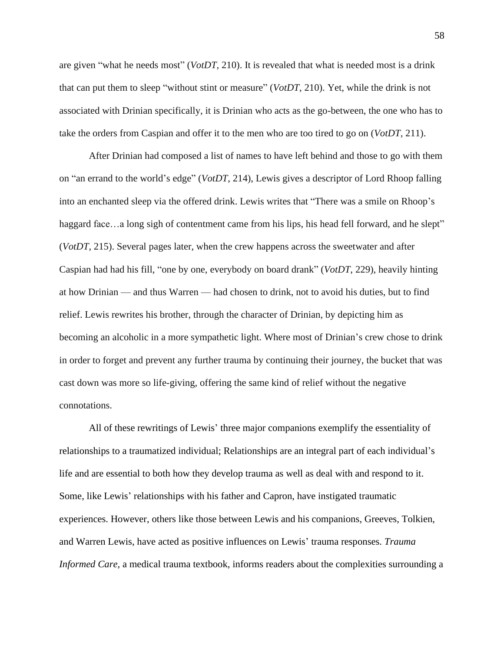are given "what he needs most" (*VotDT*, 210). It is revealed that what is needed most is a drink that can put them to sleep "without stint or measure" (*VotDT*, 210). Yet, while the drink is not associated with Drinian specifically, it is Drinian who acts as the go-between, the one who has to take the orders from Caspian and offer it to the men who are too tired to go on (*VotDT*, 211).

After Drinian had composed a list of names to have left behind and those to go with them on "an errand to the world's edge" (*VotDT*, 214), Lewis gives a descriptor of Lord Rhoop falling into an enchanted sleep via the offered drink. Lewis writes that "There was a smile on Rhoop's haggard face…a long sigh of contentment came from his lips, his head fell forward, and he slept" (*VotDT*, 215). Several pages later, when the crew happens across the sweetwater and after Caspian had had his fill, "one by one, everybody on board drank" (*VotDT*, 229), heavily hinting at how Drinian — and thus Warren — had chosen to drink, not to avoid his duties, but to find relief. Lewis rewrites his brother, through the character of Drinian, by depicting him as becoming an alcoholic in a more sympathetic light. Where most of Drinian's crew chose to drink in order to forget and prevent any further trauma by continuing their journey, the bucket that was cast down was more so life-giving, offering the same kind of relief without the negative connotations.

All of these rewritings of Lewis' three major companions exemplify the essentiality of relationships to a traumatized individual; Relationships are an integral part of each individual's life and are essential to both how they develop trauma as well as deal with and respond to it. Some, like Lewis' relationships with his father and Capron, have instigated traumatic experiences. However, others like those between Lewis and his companions, Greeves, Tolkien, and Warren Lewis, have acted as positive influences on Lewis' trauma responses. *Trauma Informed Care*, a medical trauma textbook, informs readers about the complexities surrounding a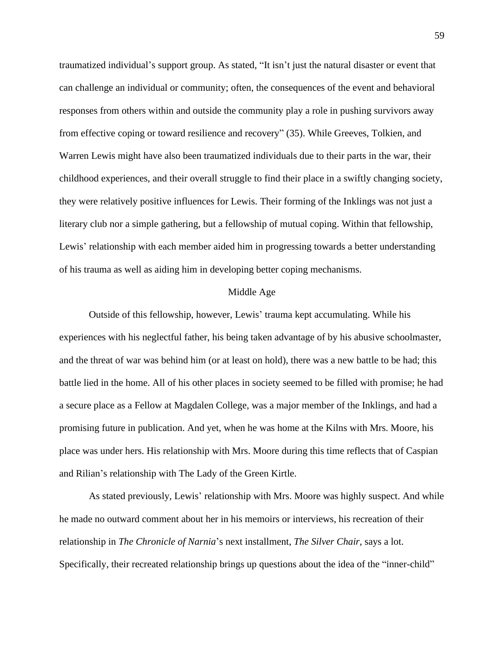traumatized individual's support group. As stated, "It isn't just the natural disaster or event that can challenge an individual or community; often, the consequences of the event and behavioral responses from others within and outside the community play a role in pushing survivors away from effective coping or toward resilience and recovery" (35). While Greeves, Tolkien, and Warren Lewis might have also been traumatized individuals due to their parts in the war, their childhood experiences, and their overall struggle to find their place in a swiftly changing society, they were relatively positive influences for Lewis. Their forming of the Inklings was not just a literary club nor a simple gathering, but a fellowship of mutual coping. Within that fellowship, Lewis' relationship with each member aided him in progressing towards a better understanding of his trauma as well as aiding him in developing better coping mechanisms.

#### Middle Age

Outside of this fellowship, however, Lewis' trauma kept accumulating. While his experiences with his neglectful father, his being taken advantage of by his abusive schoolmaster, and the threat of war was behind him (or at least on hold), there was a new battle to be had; this battle lied in the home. All of his other places in society seemed to be filled with promise; he had a secure place as a Fellow at Magdalen College, was a major member of the Inklings, and had a promising future in publication. And yet, when he was home at the Kilns with Mrs. Moore, his place was under hers. His relationship with Mrs. Moore during this time reflects that of Caspian and Rilian's relationship with The Lady of the Green Kirtle.

As stated previously, Lewis' relationship with Mrs. Moore was highly suspect. And while he made no outward comment about her in his memoirs or interviews, his recreation of their relationship in *The Chronicle of Narnia*'s next installment, *The Silver Chair*, says a lot. Specifically, their recreated relationship brings up questions about the idea of the "inner-child"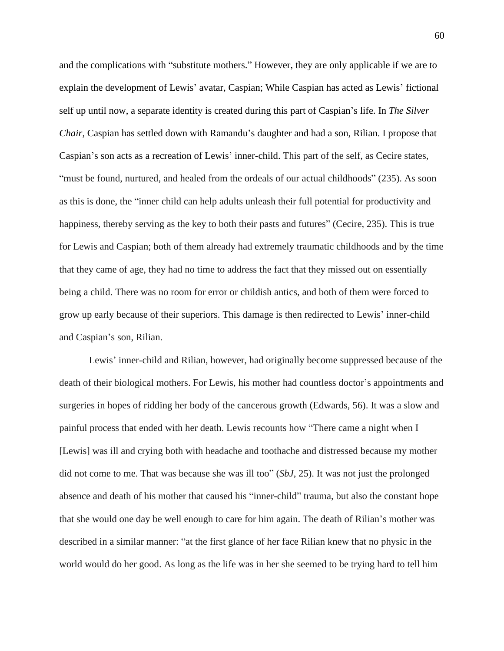and the complications with "substitute mothers." However, they are only applicable if we are to explain the development of Lewis' avatar, Caspian; While Caspian has acted as Lewis' fictional self up until now, a separate identity is created during this part of Caspian's life. In *The Silver Chair*, Caspian has settled down with Ramandu's daughter and had a son, Rilian. I propose that Caspian's son acts as a recreation of Lewis' inner-child. This part of the self, as Cecire states, "must be found, nurtured, and healed from the ordeals of our actual childhoods" (235). As soon as this is done, the "inner child can help adults unleash their full potential for productivity and happiness, thereby serving as the key to both their pasts and futures" (Cecire, 235). This is true for Lewis and Caspian; both of them already had extremely traumatic childhoods and by the time that they came of age, they had no time to address the fact that they missed out on essentially being a child. There was no room for error or childish antics, and both of them were forced to grow up early because of their superiors. This damage is then redirected to Lewis' inner-child and Caspian's son, Rilian.

Lewis' inner-child and Rilian, however, had originally become suppressed because of the death of their biological mothers. For Lewis, his mother had countless doctor's appointments and surgeries in hopes of ridding her body of the cancerous growth (Edwards, 56). It was a slow and painful process that ended with her death. Lewis recounts how "There came a night when I [Lewis] was ill and crying both with headache and toothache and distressed because my mother did not come to me. That was because she was ill too" (*SbJ*, 25). It was not just the prolonged absence and death of his mother that caused his "inner-child" trauma, but also the constant hope that she would one day be well enough to care for him again. The death of Rilian's mother was described in a similar manner: "at the first glance of her face Rilian knew that no physic in the world would do her good. As long as the life was in her she seemed to be trying hard to tell him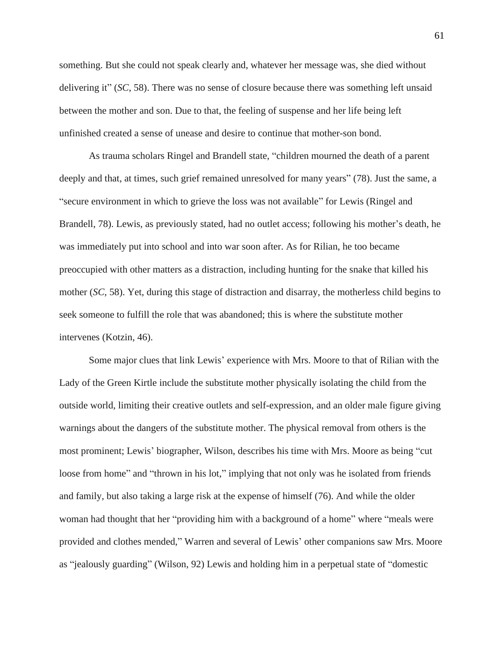something. But she could not speak clearly and, whatever her message was, she died without delivering it" (*SC*, 58). There was no sense of closure because there was something left unsaid between the mother and son. Due to that, the feeling of suspense and her life being left unfinished created a sense of unease and desire to continue that mother-son bond.

As trauma scholars Ringel and Brandell state, "children mourned the death of a parent deeply and that, at times, such grief remained unresolved for many years" (78). Just the same, a "secure environment in which to grieve the loss was not available" for Lewis (Ringel and Brandell, 78). Lewis, as previously stated, had no outlet access; following his mother's death, he was immediately put into school and into war soon after. As for Rilian, he too became preoccupied with other matters as a distraction, including hunting for the snake that killed his mother (*SC*, 58). Yet, during this stage of distraction and disarray, the motherless child begins to seek someone to fulfill the role that was abandoned; this is where the substitute mother intervenes (Kotzin, 46).

Some major clues that link Lewis' experience with Mrs. Moore to that of Rilian with the Lady of the Green Kirtle include the substitute mother physically isolating the child from the outside world, limiting their creative outlets and self-expression, and an older male figure giving warnings about the dangers of the substitute mother. The physical removal from others is the most prominent; Lewis' biographer, Wilson, describes his time with Mrs. Moore as being "cut loose from home" and "thrown in his lot," implying that not only was he isolated from friends and family, but also taking a large risk at the expense of himself (76). And while the older woman had thought that her "providing him with a background of a home" where "meals were provided and clothes mended," Warren and several of Lewis' other companions saw Mrs. Moore as "jealously guarding" (Wilson, 92) Lewis and holding him in a perpetual state of "domestic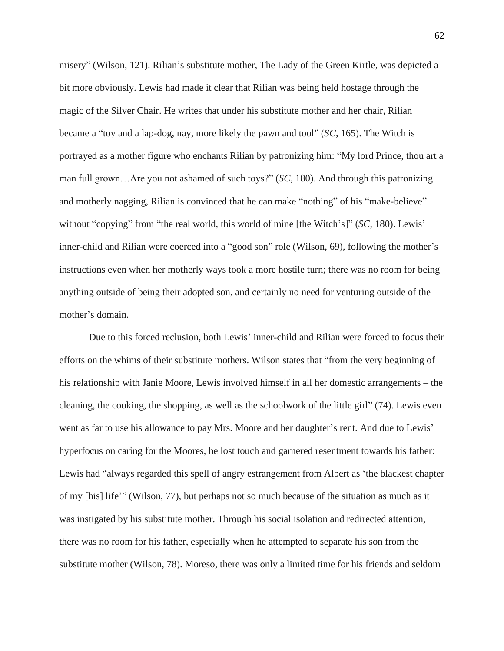misery" (Wilson, 121). Rilian's substitute mother, The Lady of the Green Kirtle, was depicted a bit more obviously. Lewis had made it clear that Rilian was being held hostage through the magic of the Silver Chair. He writes that under his substitute mother and her chair, Rilian became a "toy and a lap-dog, nay, more likely the pawn and tool" (*SC*, 165). The Witch is portrayed as a mother figure who enchants Rilian by patronizing him: "My lord Prince, thou art a man full grown…Are you not ashamed of such toys?" (*SC*, 180). And through this patronizing and motherly nagging, Rilian is convinced that he can make "nothing" of his "make-believe" without "copying" from "the real world, this world of mine [the Witch's]" (*SC*, 180). Lewis' inner-child and Rilian were coerced into a "good son" role (Wilson, 69), following the mother's instructions even when her motherly ways took a more hostile turn; there was no room for being anything outside of being their adopted son, and certainly no need for venturing outside of the mother's domain.

Due to this forced reclusion, both Lewis' inner-child and Rilian were forced to focus their efforts on the whims of their substitute mothers. Wilson states that "from the very beginning of his relationship with Janie Moore, Lewis involved himself in all her domestic arrangements – the cleaning, the cooking, the shopping, as well as the schoolwork of the little girl" (74). Lewis even went as far to use his allowance to pay Mrs. Moore and her daughter's rent. And due to Lewis' hyperfocus on caring for the Moores, he lost touch and garnered resentment towards his father: Lewis had "always regarded this spell of angry estrangement from Albert as 'the blackest chapter of my [his] life'" (Wilson, 77), but perhaps not so much because of the situation as much as it was instigated by his substitute mother. Through his social isolation and redirected attention, there was no room for his father, especially when he attempted to separate his son from the substitute mother (Wilson, 78). Moreso, there was only a limited time for his friends and seldom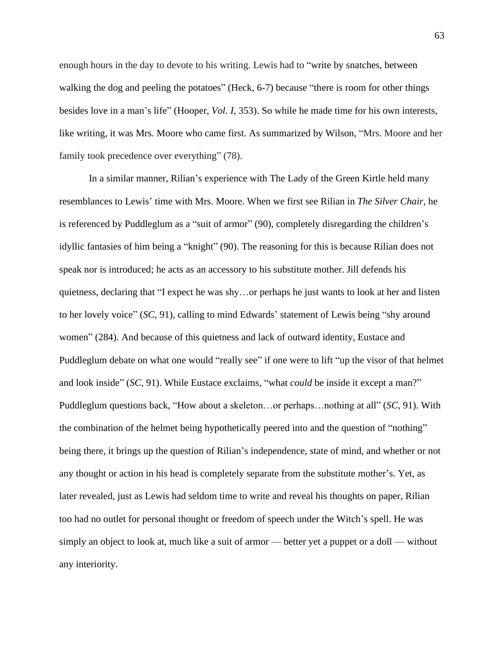enough hours in the day to devote to his writing. Lewis had to "write by snatches, between walking the dog and peeling the potatoes" (Heck, 6-7) because "there is room for other things besides love in a man's life" (Hooper, *Vol. I,* 353). So while he made time for his own interests, like writing, it was Mrs. Moore who came first. As summarized by Wilson, "Mrs. Moore and her family took precedence over everything" (78).

In a similar manner, Rilian's experience with The Lady of the Green Kirtle held many resemblances to Lewis' time with Mrs. Moore. When we first see Rilian in *The Silver Chair*, he is referenced by Puddleglum as a "suit of armor" (90), completely disregarding the children's idyllic fantasies of him being a "knight" (90). The reasoning for this is because Rilian does not speak nor is introduced; he acts as an accessory to his substitute mother. Jill defends his quietness, declaring that "I expect he was shy…or perhaps he just wants to look at her and listen to her lovely voice" (*SC*, 91), calling to mind Edwards' statement of Lewis being "shy around women" (284). And because of this quietness and lack of outward identity, Eustace and Puddleglum debate on what one would "really see" if one were to lift "up the visor of that helmet and look inside" (*SC*, 91). While Eustace exclaims, "what *could* be inside it except a man?" Puddleglum questions back, "How about a skeleton…or perhaps…nothing at all" (*SC*, 91). With the combination of the helmet being hypothetically peered into and the question of "nothing" being there, it brings up the question of Rilian's independence, state of mind, and whether or not any thought or action in his head is completely separate from the substitute mother's. Yet, as later revealed, just as Lewis had seldom time to write and reveal his thoughts on paper, Rilian too had no outlet for personal thought or freedom of speech under the Witch's spell. He was simply an object to look at, much like a suit of armor — better yet a puppet or a doll — without any interiority.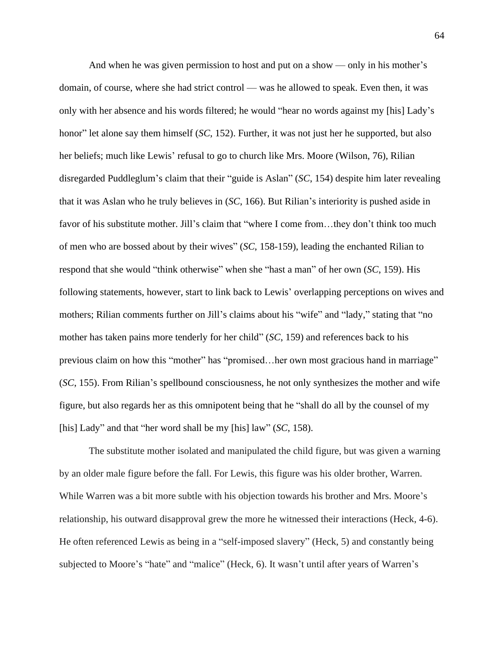And when he was given permission to host and put on a show — only in his mother's domain, of course, where she had strict control — was he allowed to speak. Even then, it was only with her absence and his words filtered; he would "hear no words against my [his] Lady's honor" let alone say them himself (*SC*, 152). Further, it was not just her he supported, but also her beliefs; much like Lewis' refusal to go to church like Mrs. Moore (Wilson, 76), Rilian disregarded Puddleglum's claim that their "guide is Aslan" (*SC*, 154) despite him later revealing that it was Aslan who he truly believes in (*SC*, 166). But Rilian's interiority is pushed aside in favor of his substitute mother. Jill's claim that "where I come from…they don't think too much of men who are bossed about by their wives" (*SC*, 158-159), leading the enchanted Rilian to respond that she would "think otherwise" when she "hast a man" of her own (*SC*, 159). His following statements, however, start to link back to Lewis' overlapping perceptions on wives and mothers; Rilian comments further on Jill's claims about his "wife" and "lady," stating that "no mother has taken pains more tenderly for her child" (*SC*, 159) and references back to his previous claim on how this "mother" has "promised…her own most gracious hand in marriage" (*SC*, 155). From Rilian's spellbound consciousness, he not only synthesizes the mother and wife figure, but also regards her as this omnipotent being that he "shall do all by the counsel of my [his] Lady" and that "her word shall be my [his] law" (*SC*, 158).

The substitute mother isolated and manipulated the child figure, but was given a warning by an older male figure before the fall. For Lewis, this figure was his older brother, Warren. While Warren was a bit more subtle with his objection towards his brother and Mrs. Moore's relationship, his outward disapproval grew the more he witnessed their interactions (Heck, 4-6). He often referenced Lewis as being in a "self-imposed slavery" (Heck, 5) and constantly being subjected to Moore's "hate" and "malice" (Heck, 6). It wasn't until after years of Warren's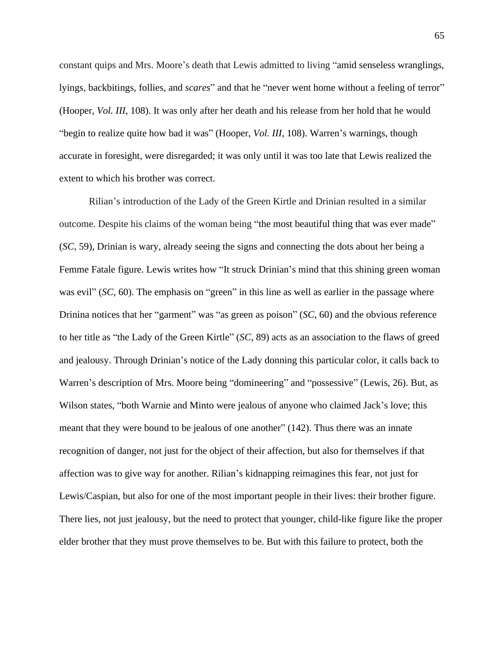constant quips and Mrs. Moore's death that Lewis admitted to living "amid senseless wranglings, lyings, backbitings, follies, and *scares*" and that he "never went home without a feeling of terror" (Hooper, *Vol. III*, 108). It was only after her death and his release from her hold that he would "begin to realize quite how bad it was" (Hooper, *Vol. III*, 108). Warren's warnings, though accurate in foresight, were disregarded; it was only until it was too late that Lewis realized the extent to which his brother was correct.

Rilian's introduction of the Lady of the Green Kirtle and Drinian resulted in a similar outcome. Despite his claims of the woman being "the most beautiful thing that was ever made" (*SC*, 59), Drinian is wary, already seeing the signs and connecting the dots about her being a Femme Fatale figure. Lewis writes how "It struck Drinian's mind that this shining green woman was evil" (*SC*, 60). The emphasis on "green" in this line as well as earlier in the passage where Drinina notices that her "garment" was "as green as poison" (*SC*, 60) and the obvious reference to her title as "the Lady of the Green Kirtle" (*SC*, 89) acts as an association to the flaws of greed and jealousy. Through Drinian's notice of the Lady donning this particular color, it calls back to Warren's description of Mrs. Moore being "domineering" and "possessive" (Lewis, 26). But, as Wilson states, "both Warnie and Minto were jealous of anyone who claimed Jack's love; this meant that they were bound to be jealous of one another" (142). Thus there was an innate recognition of danger, not just for the object of their affection, but also for themselves if that affection was to give way for another. Rilian's kidnapping reimagines this fear, not just for Lewis/Caspian, but also for one of the most important people in their lives: their brother figure. There lies, not just jealousy, but the need to protect that younger, child-like figure like the proper elder brother that they must prove themselves to be. But with this failure to protect, both the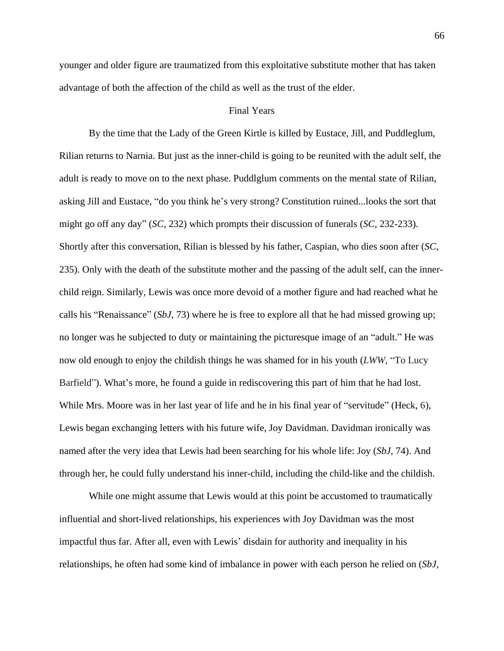younger and older figure are traumatized from this exploitative substitute mother that has taken advantage of both the affection of the child as well as the trust of the elder.

### Final Years

By the time that the Lady of the Green Kirtle is killed by Eustace, Jill, and Puddleglum, Rilian returns to Narnia. But just as the inner-child is going to be reunited with the adult self, the adult is ready to move on to the next phase. Puddlglum comments on the mental state of Rilian, asking Jill and Eustace, "do you think he's very strong? Constitution ruined...looks the sort that might go off any day" (*SC*, 232) which prompts their discussion of funerals (*SC*, 232-233). Shortly after this conversation, Rilian is blessed by his father, Caspian, who dies soon after (*SC*, 235). Only with the death of the substitute mother and the passing of the adult self, can the innerchild reign. Similarly, Lewis was once more devoid of a mother figure and had reached what he calls his "Renaissance" (*SbJ*, 73) where he is free to explore all that he had missed growing up; no longer was he subjected to duty or maintaining the picturesque image of an "adult." He was now old enough to enjoy the childish things he was shamed for in his youth (*LWW*, "To Lucy Barfield"). What's more, he found a guide in rediscovering this part of him that he had lost. While Mrs. Moore was in her last year of life and he in his final year of "servitude" (Heck, 6), Lewis began exchanging letters with his future wife, Joy Davidman. Davidman ironically was named after the very idea that Lewis had been searching for his whole life: Joy (*SbJ*, 74). And through her, he could fully understand his inner-child, including the child-like and the childish.

While one might assume that Lewis would at this point be accustomed to traumatically influential and short-lived relationships, his experiences with Joy Davidman was the most impactful thus far. After all, even with Lewis' disdain for authority and inequality in his relationships, he often had some kind of imbalance in power with each person he relied on (*SbJ*,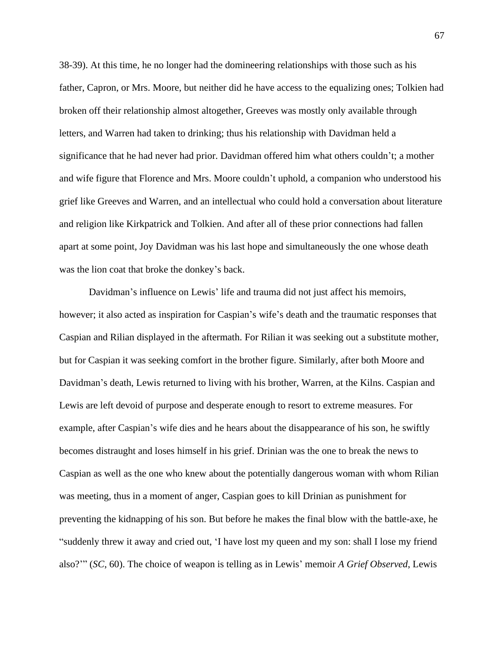38-39). At this time, he no longer had the domineering relationships with those such as his father, Capron, or Mrs. Moore, but neither did he have access to the equalizing ones; Tolkien had broken off their relationship almost altogether, Greeves was mostly only available through letters, and Warren had taken to drinking; thus his relationship with Davidman held a significance that he had never had prior. Davidman offered him what others couldn't; a mother and wife figure that Florence and Mrs. Moore couldn't uphold, a companion who understood his grief like Greeves and Warren, and an intellectual who could hold a conversation about literature and religion like Kirkpatrick and Tolkien. And after all of these prior connections had fallen apart at some point, Joy Davidman was his last hope and simultaneously the one whose death was the lion coat that broke the donkey's back.

Davidman's influence on Lewis' life and trauma did not just affect his memoirs, however; it also acted as inspiration for Caspian's wife's death and the traumatic responses that Caspian and Rilian displayed in the aftermath. For Rilian it was seeking out a substitute mother, but for Caspian it was seeking comfort in the brother figure. Similarly, after both Moore and Davidman's death, Lewis returned to living with his brother, Warren, at the Kilns. Caspian and Lewis are left devoid of purpose and desperate enough to resort to extreme measures. For example, after Caspian's wife dies and he hears about the disappearance of his son, he swiftly becomes distraught and loses himself in his grief. Drinian was the one to break the news to Caspian as well as the one who knew about the potentially dangerous woman with whom Rilian was meeting, thus in a moment of anger, Caspian goes to kill Drinian as punishment for preventing the kidnapping of his son. But before he makes the final blow with the battle-axe, he "suddenly threw it away and cried out, 'I have lost my queen and my son: shall I lose my friend also?'" (*SC*, 60). The choice of weapon is telling as in Lewis' memoir *A Grief Observed*, Lewis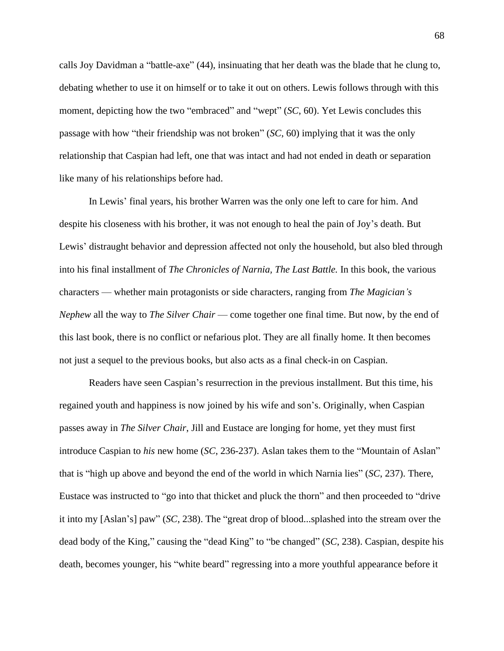calls Joy Davidman a "battle-axe" (44), insinuating that her death was the blade that he clung to, debating whether to use it on himself or to take it out on others. Lewis follows through with this moment, depicting how the two "embraced" and "wept" (*SC*, 60). Yet Lewis concludes this passage with how "their friendship was not broken" (*SC*, 60) implying that it was the only relationship that Caspian had left, one that was intact and had not ended in death or separation like many of his relationships before had.

In Lewis' final years, his brother Warren was the only one left to care for him. And despite his closeness with his brother, it was not enough to heal the pain of Joy's death. But Lewis' distraught behavior and depression affected not only the household, but also bled through into his final installment of *The Chronicles of Narnia, The Last Battle.* In this book, the various characters — whether main protagonists or side characters, ranging from *The Magician's Nephew* all the way to *The Silver Chair* — come together one final time. But now, by the end of this last book, there is no conflict or nefarious plot. They are all finally home. It then becomes not just a sequel to the previous books, but also acts as a final check-in on Caspian.

Readers have seen Caspian's resurrection in the previous installment. But this time, his regained youth and happiness is now joined by his wife and son's. Originally, when Caspian passes away in *The Silver Chair*, Jill and Eustace are longing for home, yet they must first introduce Caspian to *his* new home (*SC*, 236-237). Aslan takes them to the "Mountain of Aslan" that is "high up above and beyond the end of the world in which Narnia lies" (*SC*, 237). There, Eustace was instructed to "go into that thicket and pluck the thorn" and then proceeded to "drive it into my [Aslan's] paw" (*SC*, 238). The "great drop of blood...splashed into the stream over the dead body of the King," causing the "dead King" to "be changed" (*SC*, 238). Caspian, despite his death, becomes younger, his "white beard" regressing into a more youthful appearance before it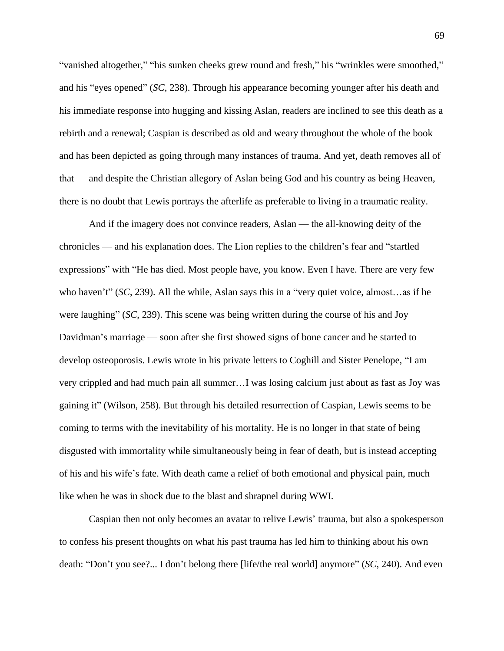"vanished altogether," "his sunken cheeks grew round and fresh," his "wrinkles were smoothed," and his "eyes opened" (*SC*, 238). Through his appearance becoming younger after his death and his immediate response into hugging and kissing Aslan, readers are inclined to see this death as a rebirth and a renewal; Caspian is described as old and weary throughout the whole of the book and has been depicted as going through many instances of trauma. And yet, death removes all of that — and despite the Christian allegory of Aslan being God and his country as being Heaven, there is no doubt that Lewis portrays the afterlife as preferable to living in a traumatic reality.

And if the imagery does not convince readers, Aslan — the all-knowing deity of the chronicles — and his explanation does. The Lion replies to the children's fear and "startled expressions" with "He has died. Most people have, you know. Even I have. There are very few who haven't" (*SC*, 239). All the while, Aslan says this in a "very quiet voice, almost…as if he were laughing" (*SC*, 239). This scene was being written during the course of his and Joy Davidman's marriage — soon after she first showed signs of bone cancer and he started to develop osteoporosis. Lewis wrote in his private letters to Coghill and Sister Penelope, "I am very crippled and had much pain all summer…I was losing calcium just about as fast as Joy was gaining it" (Wilson, 258). But through his detailed resurrection of Caspian, Lewis seems to be coming to terms with the inevitability of his mortality. He is no longer in that state of being disgusted with immortality while simultaneously being in fear of death, but is instead accepting of his and his wife's fate. With death came a relief of both emotional and physical pain, much like when he was in shock due to the blast and shrapnel during WWI.

Caspian then not only becomes an avatar to relive Lewis' trauma, but also a spokesperson to confess his present thoughts on what his past trauma has led him to thinking about his own death: "Don't you see?... I don't belong there [life/the real world] anymore" (*SC*, 240). And even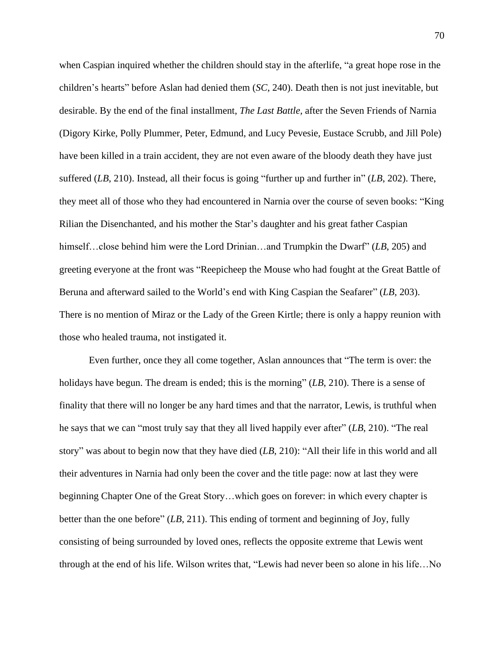when Caspian inquired whether the children should stay in the afterlife, "a great hope rose in the children's hearts" before Aslan had denied them (*SC*, 240). Death then is not just inevitable, but desirable. By the end of the final installment, *The Last Battle,* after the Seven Friends of Narnia (Digory Kirke, Polly Plummer, Peter, Edmund, and Lucy Pevesie, Eustace Scrubb, and Jill Pole) have been killed in a train accident, they are not even aware of the bloody death they have just suffered (*LB*, 210). Instead, all their focus is going "further up and further in" (*LB*, 202). There, they meet all of those who they had encountered in Narnia over the course of seven books: "King Rilian the Disenchanted, and his mother the Star's daughter and his great father Caspian himself...close behind him were the Lord Drinian...and Trumpkin the Dwarf" (*LB*, 205) and greeting everyone at the front was "Reepicheep the Mouse who had fought at the Great Battle of Beruna and afterward sailed to the World's end with King Caspian the Seafarer" (*LB*, 203). There is no mention of Miraz or the Lady of the Green Kirtle; there is only a happy reunion with those who healed trauma, not instigated it.

Even further, once they all come together, Aslan announces that "The term is over: the holidays have begun. The dream is ended; this is the morning" (*LB*, 210). There is a sense of finality that there will no longer be any hard times and that the narrator, Lewis, is truthful when he says that we can "most truly say that they all lived happily ever after" (*LB*, 210). "The real story" was about to begin now that they have died (*LB*, 210): "All their life in this world and all their adventures in Narnia had only been the cover and the title page: now at last they were beginning Chapter One of the Great Story…which goes on forever: in which every chapter is better than the one before" (*LB*, 211). This ending of torment and beginning of Joy, fully consisting of being surrounded by loved ones, reflects the opposite extreme that Lewis went through at the end of his life. Wilson writes that, "Lewis had never been so alone in his life…No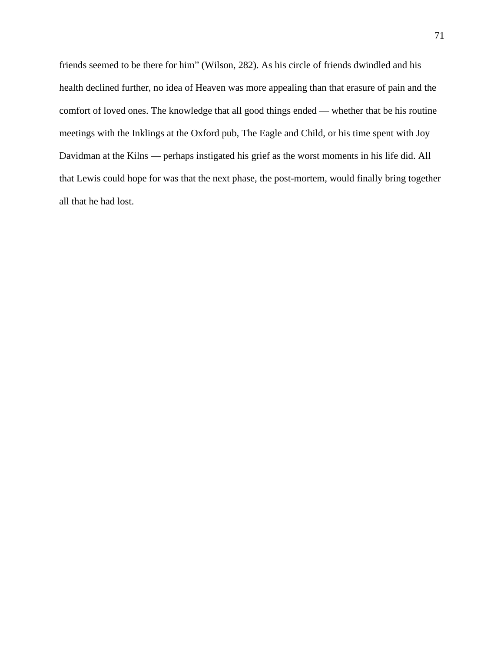friends seemed to be there for him" (Wilson, 282). As his circle of friends dwindled and his health declined further, no idea of Heaven was more appealing than that erasure of pain and the comfort of loved ones. The knowledge that all good things ended — whether that be his routine meetings with the Inklings at the Oxford pub, The Eagle and Child, or his time spent with Joy Davidman at the Kilns — perhaps instigated his grief as the worst moments in his life did. All that Lewis could hope for was that the next phase, the post-mortem, would finally bring together all that he had lost.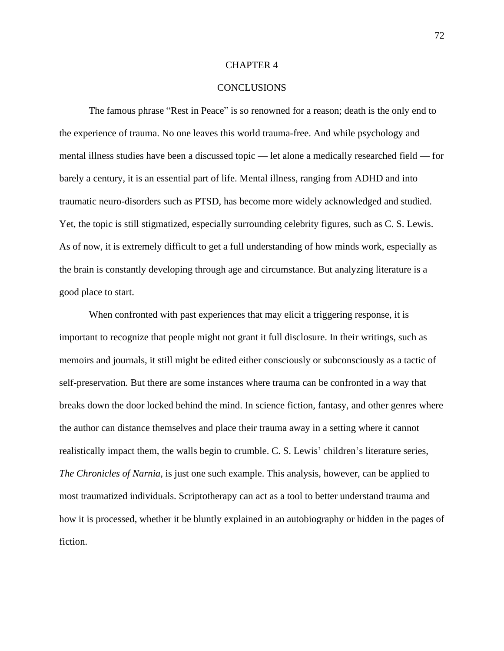## CHAPTER 4

## **CONCLUSIONS**

The famous phrase "Rest in Peace" is so renowned for a reason; death is the only end to the experience of trauma. No one leaves this world trauma-free. And while psychology and mental illness studies have been a discussed topic — let alone a medically researched field — for barely a century, it is an essential part of life. Mental illness, ranging from ADHD and into traumatic neuro-disorders such as PTSD, has become more widely acknowledged and studied. Yet, the topic is still stigmatized, especially surrounding celebrity figures, such as C. S. Lewis. As of now, it is extremely difficult to get a full understanding of how minds work, especially as the brain is constantly developing through age and circumstance. But analyzing literature is a good place to start.

When confronted with past experiences that may elicit a triggering response, it is important to recognize that people might not grant it full disclosure. In their writings, such as memoirs and journals, it still might be edited either consciously or subconsciously as a tactic of self-preservation. But there are some instances where trauma can be confronted in a way that breaks down the door locked behind the mind. In science fiction, fantasy, and other genres where the author can distance themselves and place their trauma away in a setting where it cannot realistically impact them, the walls begin to crumble. C. S. Lewis' children's literature series, *The Chronicles of Narnia*, is just one such example. This analysis, however, can be applied to most traumatized individuals. Scriptotherapy can act as a tool to better understand trauma and how it is processed, whether it be bluntly explained in an autobiography or hidden in the pages of fiction.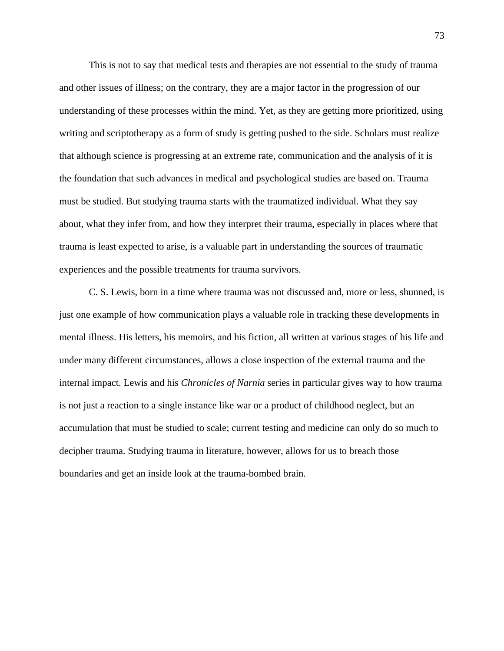This is not to say that medical tests and therapies are not essential to the study of trauma and other issues of illness; on the contrary, they are a major factor in the progression of our understanding of these processes within the mind. Yet, as they are getting more prioritized, using writing and scriptotherapy as a form of study is getting pushed to the side. Scholars must realize that although science is progressing at an extreme rate, communication and the analysis of it is the foundation that such advances in medical and psychological studies are based on. Trauma must be studied. But studying trauma starts with the traumatized individual. What they say about, what they infer from, and how they interpret their trauma, especially in places where that trauma is least expected to arise, is a valuable part in understanding the sources of traumatic experiences and the possible treatments for trauma survivors.

C. S. Lewis, born in a time where trauma was not discussed and, more or less, shunned, is just one example of how communication plays a valuable role in tracking these developments in mental illness. His letters, his memoirs, and his fiction, all written at various stages of his life and under many different circumstances, allows a close inspection of the external trauma and the internal impact. Lewis and his *Chronicles of Narnia* series in particular gives way to how trauma is not just a reaction to a single instance like war or a product of childhood neglect, but an accumulation that must be studied to scale; current testing and medicine can only do so much to decipher trauma. Studying trauma in literature, however, allows for us to breach those boundaries and get an inside look at the trauma-bombed brain.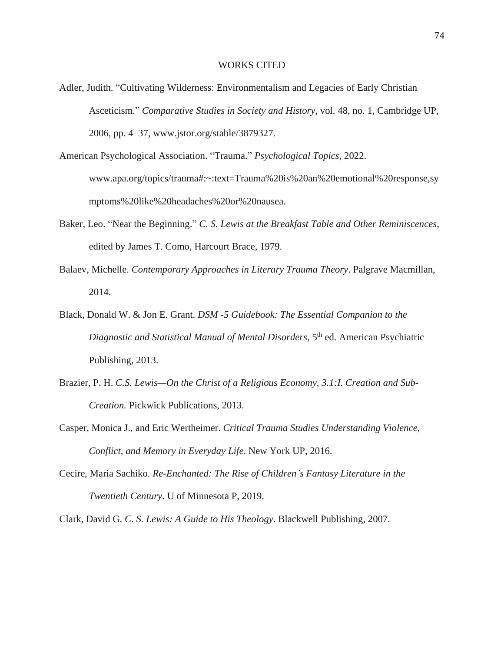## WORKS CITED

- Adler, Judith. "Cultivating Wilderness: Environmentalism and Legacies of Early Christian Asceticism." *Comparative Studies in Society and History*, vol. 48, no. 1, Cambridge UP, 2006, pp. 4–37, www.jstor.org/stable/3879327.
- American Psychological Association. "Trauma." *Psychological Topics*, 2022. www.apa.org/topics/trauma#:~:text=Trauma%20is%20an%20emotional%20response,sy mptoms%20like%20headaches%20or%20nausea.
- Baker, Leo. "Near the Beginning." *C. S. Lewis at the Breakfast Table and Other Reminiscences,* edited by James T. Como, Harcourt Brace, 1979.
- Balaev, Michelle. *Contemporary Approaches in Literary Trauma Theory*. Palgrave Macmillan, 2014.
- Black, Donald W. & Jon E. Grant. *DSM -5 Guidebook: The Essential Companion to the Diagnostic and Statistical Manual of Mental Disorders*, 5 th ed. American Psychiatric Publishing, 2013.
- Brazier, P. H. *C.S. Lewis—On the Christ of a Religious Economy, 3.1:I. Creation and Sub-Creation.* Pickwick Publications, 2013.
- Casper, Monica J., and Eric Wertheimer. *Critical Trauma Studies Understanding Violence, Conflict, and Memory in Everyday Life*. New York UP, 2016.
- Cecire, Maria Sachiko. *Re-Enchanted: The Rise of Children's Fantasy Literature in the Twentieth Century*. U of Minnesota P, 2019.

Clark, David G. *C. S. Lewis: A Guide to His Theology*. Blackwell Publishing, 2007.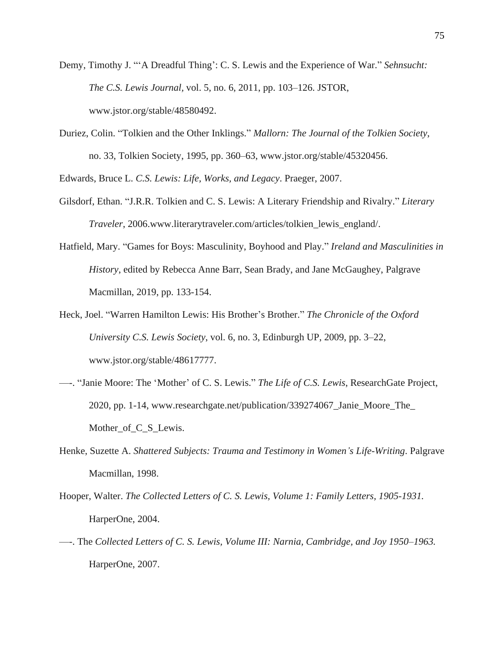- Demy, Timothy J. "'A Dreadful Thing': C. S. Lewis and the Experience of War." *Sehnsucht: The C.S. Lewis Journal,* vol. 5, no. 6, 2011, pp. 103–126. JSTOR, www.jstor.org/stable/48580492.
- Duriez, Colin. "Tolkien and the Other Inklings." *Mallorn: The Journal of the Tolkien Society*, no. 33, Tolkien Society, 1995, pp. 360–63, www.jstor.org/stable/45320456.

Edwards, Bruce L. *C.S. Lewis: Life, Works, and Legacy*. Praeger, 2007.

- Gilsdorf, Ethan. "J.R.R. Tolkien and C. S. Lewis: A Literary Friendship and Rivalry." *Literary Traveler*, 2006.www.literarytraveler.com/articles/tolkien\_lewis\_england/.
- Hatfield, Mary. "Games for Boys: Masculinity, Boyhood and Play." *Ireland and Masculinities in History*, edited by Rebecca Anne Barr, Sean Brady, and Jane McGaughey, Palgrave Macmillan, 2019, pp. 133-154.
- Heck, Joel. "Warren Hamilton Lewis: His Brother's Brother." *The Chronicle of the Oxford University C.S. Lewis Society*, vol. 6, no. 3, Edinburgh UP, 2009, pp. 3–22, www.jstor.org/stable/48617777.
- —-. "Janie Moore: The 'Mother' of C. S. Lewis." *The Life of C.S. Lewis*, ResearchGate Project, 2020, pp. 1-14, www.researchgate.net/publication/339274067\_Janie\_Moore\_The\_ Mother\_of\_C\_S\_Lewis.
- Henke, Suzette A. *Shattered Subjects: Trauma and Testimony in Women's Life-Writing*. Palgrave Macmillan, 1998.
- Hooper, Walter. *The Collected Letters of C. S. Lewis, Volume 1: Family Letters, 1905-1931.* HarperOne, 2004.
- —-. The *Collected Letters of C. S. Lewis, Volume III: Narnia, Cambridge, and Joy 1950–1963.* HarperOne, 2007.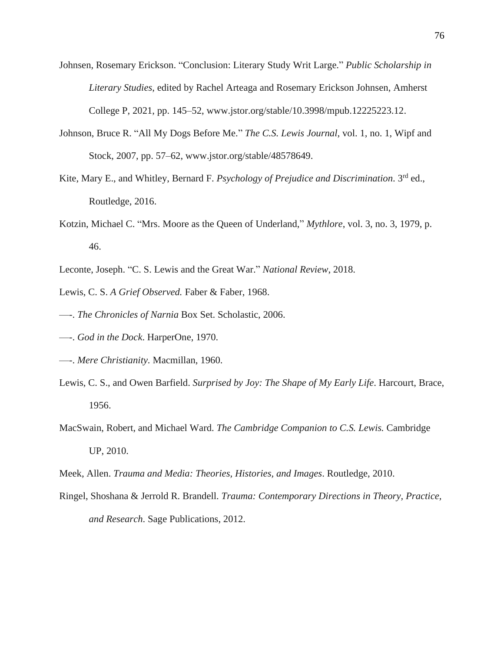- Johnsen, Rosemary Erickson. "Conclusion: Literary Study Writ Large." *Public Scholarship in Literary Studies*, edited by Rachel Arteaga and Rosemary Erickson Johnsen, Amherst College P, 2021, pp. 145–52, www.jstor.org/stable/10.3998/mpub.12225223.12.
- Johnson, Bruce R. "All My Dogs Before Me." *The C.S. Lewis Journal*, vol. 1, no. 1, Wipf and Stock, 2007, pp. 57–62, www.jstor.org/stable/48578649.
- Kite, Mary E., and Whitley, Bernard F. *Psychology of Prejudice and Discrimination*. 3 rd ed., Routledge, 2016.
- Kotzin, Michael C. "Mrs. Moore as the Queen of Underland," *Mythlore*, vol. 3, no. 3, 1979, p. 46.
- Leconte, Joseph. "C. S. Lewis and the Great War." *National Review*, 2018.
- Lewis, C. S. *A Grief Observed.* Faber & Faber, 1968.
- —-. *The Chronicles of Narnia* Box Set. Scholastic, 2006.
- —-. *God in the Dock*. HarperOne, 1970.
- —-. *Mere Christianity.* Macmillan, 1960.
- Lewis, C. S., and Owen Barfield. *Surprised by Joy: The Shape of My Early Life*. Harcourt, Brace, 1956.
- MacSwain, Robert, and Michael Ward. *The Cambridge Companion to C.S. Lewis.* Cambridge UP, 2010.
- Meek, Allen. *Trauma and Media: Theories, Histories, and Images*. Routledge, 2010.
- Ringel, Shoshana & Jerrold R. Brandell. *Trauma: Contemporary Directions in Theory, Practice, and Research*. Sage Publications, 2012.